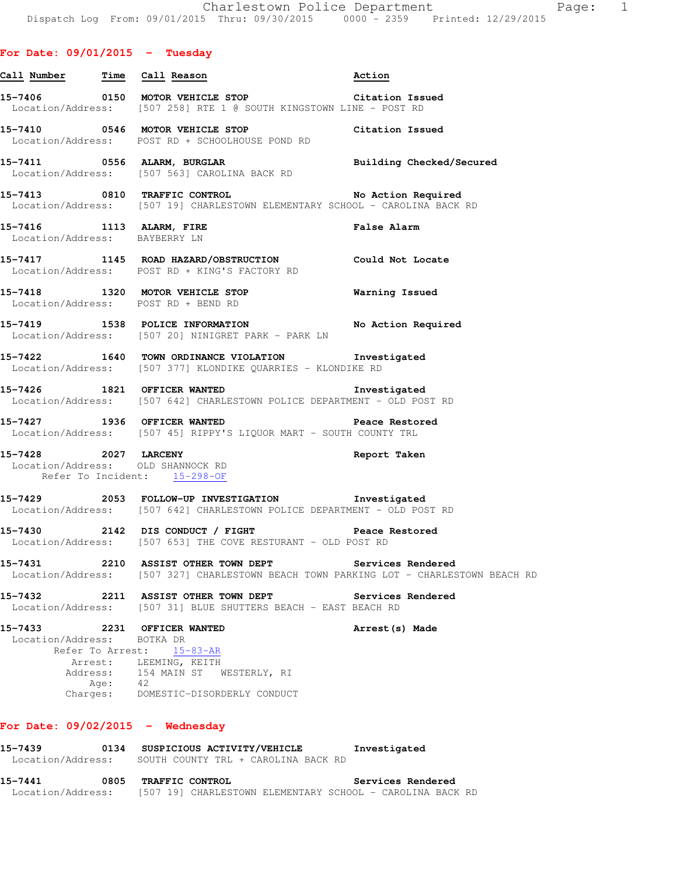#### **For Date: 09/01/2015 - Tuesday**

|                                       |         | Call Number Time Call Reason                                                                                                                            | Action             |
|---------------------------------------|---------|---------------------------------------------------------------------------------------------------------------------------------------------------------|--------------------|
|                                       |         | 15-7406 0150 MOTOR VEHICLE STOP<br>Location/Address: [507 258] RTE 1 @ SOUTH KINGSTOWN LINE - POST RD                                                   |                    |
|                                       |         | 15-7410 0546 MOTOR VEHICLE STOP Citation Issued<br>Location/Address: POST RD + SCHOOLHOUSE POND RD                                                      |                    |
|                                       |         | 15-7411 0556 ALARM, BURGLAR <b>Example 18 and Solution Checked/Secured</b><br>Location/Address: [507 563] CAROLINA BACK RD                              |                    |
|                                       |         | 15-7413 0810 TRAFFIC CONTROL No Action Required<br>Location/Address: [507 19] CHARLESTOWN ELEMENTARY SCHOOL - CAROLINA BACK RD                          |                    |
| Location/Address: BAYBERRY LN         |         | 15-7416 1113 ALARM, FIRE                                                                                                                                | <b>False Alarm</b> |
|                                       |         | 15-7417 1145 ROAD HAZARD/OBSTRUCTION Could Not Locate<br>Location/Address: POST RD + KING'S FACTORY RD                                                  |                    |
|                                       |         | 15-7418 1320 MOTOR VEHICLE STOP <b>Warning Issued</b><br>Location/Address: POST RD + BEND RD                                                            |                    |
|                                       |         | 15-7419 1538 POLICE INFORMATION No Action Required<br>Location/Address: [507 20] NINIGRET PARK - PARK LN                                                |                    |
|                                       |         | 15-7422 1640 TOWN ORDINANCE VIOLATION Investigated<br>Location/Address: [507 377] KLONDIKE QUARRIES - KLONDIKE RD                                       |                    |
|                                       |         | 15-7426 1821 OFFICER WANTED Investigated<br>Location/Address: [507 642] CHARLESTOWN POLICE DEPARTMENT - OLD POST RD                                     |                    |
|                                       |         | 1936 OFFICER WANTED Peace Restored<br>Location/Address: [507 45] RIPPY'S LIQUOR MART - SOUTH COUNTY TRL                                                 |                    |
| Refer To Incident: 15-298-OF          |         | 15-7428 2027 LARCENY<br>Location/Address: OLD SHANNOCK RD                                                                                               | Report Taken       |
|                                       |         | 15-7429 2053 FOLLOW-UP INVESTIGATION Investigated<br>Location/Address: [507 642] CHARLESTOWN POLICE DEPARTMENT - OLD POST RD                            |                    |
|                                       |         | 15-7430 2142 DIS CONDUCT / FIGHT Peace Restored<br>Location/Address: [507 653] THE COVE RESTURANT - OLD POST RD                                         |                    |
| 15-7431                               |         | 2210 ASSIST OTHER TOWN DEPT<br>Location/Address: [507 327] CHARLESTOWN BEACH TOWN PARKING LOT - CHARLESTOWN BEACH RD                                    | Services Rendered  |
|                                       |         | 15-7432 2211 ASSIST OTHER TOWN DEPT<br>Location/Address: [507 31] BLUE SHUTTERS BEACH - EAST BEACH RD                                                   | Services Rendered  |
| 15-7433<br>Location/Address: BOTKA DR | Age: 42 | 2231 OFFICER WANTED<br>Refer To Arrest: 15-83-AR<br>Arrest: LEEMING, KEITH<br>Address: 154 MAIN ST WESTERLY, RI<br>Charges: DOMESTIC-DISORDERLY CONDUCT | Arrest (s) Made    |

#### **For Date: 09/02/2015 - Wednesday**

**15-7439 0134 SUSPICIOUS ACTIVITY/VEHICLE Investigated**  Location/Address: SOUTH COUNTY TRL + CAROLINA BACK RD **15-7441 0805 TRAFFIC CONTROL Services Rendered**  Location/Address: [507 19] CHARLESTOWN ELEMENTARY SCHOOL - CAROLINA BACK RD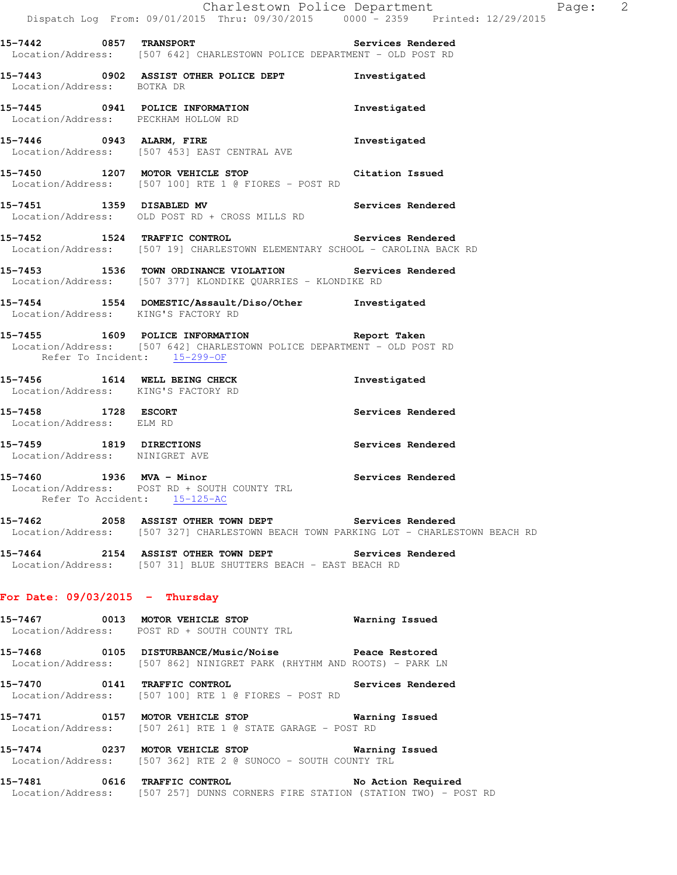| 15-7443<br>0902<br>Location/Address: | ASSIST OTHER POLICE DEPT<br>BOTKA DR                                       | Investigated      |
|--------------------------------------|----------------------------------------------------------------------------|-------------------|
| 0941<br>15-7445<br>Location/Address: | POLICE INFORMATION<br>PECKHAM HOLLOW RD                                    | Investigated      |
| 15-7446<br>0943                      | ALARM, FIRE<br>Location/Address: [507 453] EAST CENTRAL AVE                | Investigated      |
| 15-7450<br>1207                      | MOTOR VEHICLE STOP<br>Location/Address: [507 100] RTE 1 @ FIORES - POST RD | Citation Issued   |
| 15-7451<br>1359                      | DISABLED MV                                                                | Services Rendered |

**15-7452 1524 TRAFFIC CONTROL Services Rendered**  Location/Address: [507 19] CHARLESTOWN ELEMENTARY SCHOOL - CAROLINA BACK RD

**15-7453 1536 TOWN ORDINANCE VIOLATION Services Rendered**  Location/Address: [507 377] KLONDIKE QUARRIES - KLONDIKE RD

**15-7454 1554 DOMESTIC/Assault/Diso/Other Investigated**  Location/Address: KING'S FACTORY RD

**15-7455 1609 POLICE INFORMATION Report Taken**  Location/Address: [507 642] CHARLESTOWN POLICE DEPARTMENT - OLD POST RD Refer To Incident: 15-299-OF

**15-7456 1614 WELL BEING CHECK Investigated**  Location/Address: KING'S FACTORY RD

Location/Address: OLD POST RD + CROSS MILLS RD

**15-7458 1728 ESCORT Services Rendered**  Location/Address: ELM RD

**15-7459 1819 DIRECTIONS Services Rendered**  Location/Address: NINIGRET AVE

**15-7460 1936 MVA - Minor Services Rendered**  Location/Address: POST RD + SOUTH COUNTY TRL Refer To Accident: 15-125-AC

**15-7462 2058 ASSIST OTHER TOWN DEPT Services Rendered**  Location/Address: [507 327] CHARLESTOWN BEACH TOWN PARKING LOT - CHARLESTOWN BEACH RD

**15-7464 2154 ASSIST OTHER TOWN DEPT Services Rendered**  Location/Address: [507 31] BLUE SHUTTERS BEACH - EAST BEACH RD

#### **For Date: 09/03/2015 - Thursday**

**15-7467 0013 MOTOR VEHICLE STOP Warning Issued**  Location/Address: POST RD + SOUTH COUNTY TRL

**15-7468 0105 DISTURBANCE/Music/Noise Peace Restored**  Location/Address: [507 862] NINIGRET PARK (RHYTHM AND ROOTS) - PARK LN

**15-7470 0141 TRAFFIC CONTROL Services Rendered**  Location/Address: [507 100] RTE 1 @ FIORES - POST RD

**15-7471 0157 MOTOR VEHICLE STOP Warning Issued**  Location/Address: [507 261] RTE 1 @ STATE GARAGE - POST RD

**15-7474 0237 MOTOR VEHICLE STOP Warning Issued**  Location/Address: [507 362] RTE 2 @ SUNOCO - SOUTH COUNTY TRL

**15-7481 0616 TRAFFIC CONTROL No Action Required**  Location/Address: [507 257] DUNNS CORNERS FIRE STATION (STATION TWO) - POST RD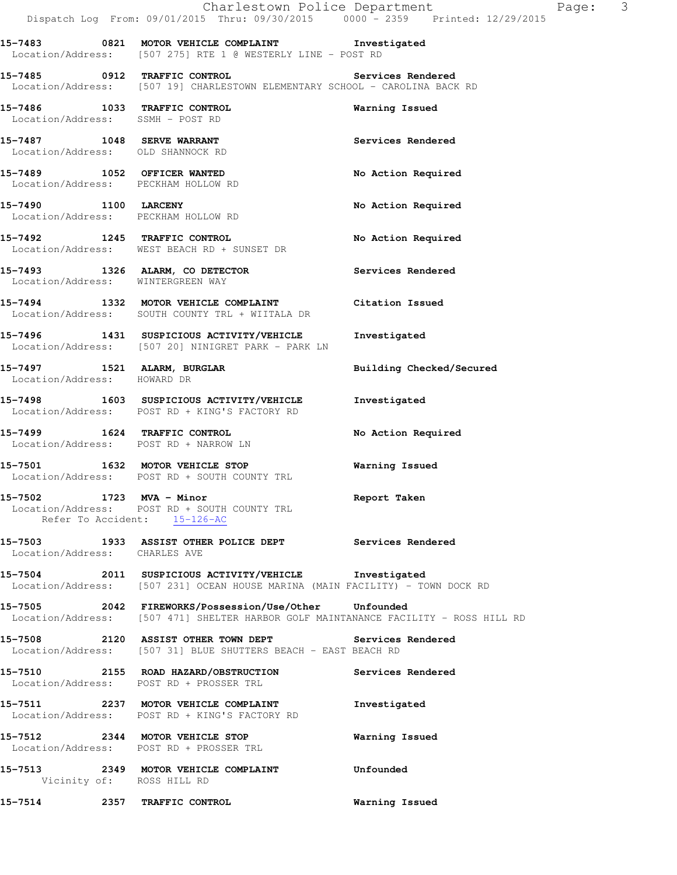|                                                                  | Dispatch Log From: 09/01/2015 Thru: 09/30/2015 0000 - 2359 Printed: 12/29/2015                                                               |                          |
|------------------------------------------------------------------|----------------------------------------------------------------------------------------------------------------------------------------------|--------------------------|
|                                                                  | 15-7483 0821 MOTOR VEHICLE COMPLAINT 1nvestigated<br>Location/Address: [507 275] RTE 1 @ WESTERLY LINE - POST RD                             |                          |
|                                                                  | 15-7485 0912 TRAFFIC CONTROL<br>Location/Address: [507 19] CHARLESTOWN ELEMENTARY SCHOOL - CAROLINA BACK RD                                  | Services Rendered        |
| 15-7486 1033 TRAFFIC CONTROL<br>Location/Address: SSMH - POST RD |                                                                                                                                              | Warning Issued           |
| 15-7487 1048 SERVE WARRANT<br>Location/Address: OLD SHANNOCK RD  |                                                                                                                                              | Services Rendered        |
| Location/Address: PECKHAM HOLLOW RD                              | 15-7489 1052 OFFICER WANTED                                                                                                                  | No Action Required       |
| 15-7490 1100 LARCENY<br>Location/Address: PECKHAM HOLLOW RD      |                                                                                                                                              | No Action Required       |
|                                                                  | 15-7492 1245 TRAFFIC CONTROL<br>Location/Address: WEST BEACH RD + SUNSET DR                                                                  | No Action Required       |
| Location/Address: WINTERGREEN WAY                                | 15-7493 1326 ALARM, CO DETECTOR CONSERVATION Services Rendered                                                                               |                          |
|                                                                  | 15-7494 1332 MOTOR VEHICLE COMPLAINT<br>Location/Address: SOUTH COUNTY TRL + WIITALA DR                                                      | Citation Issued          |
|                                                                  | 15-7496 1431 SUSPICIOUS ACTIVITY/VEHICLE Investigated<br>Location/Address: [507 20] NINIGRET PARK - PARK LN                                  |                          |
| Location/Address: HOWARD DR                                      | 15-7497 1521 ALARM, BURGLAR                                                                                                                  | Building Checked/Secured |
|                                                                  | 15-7498 1603 SUSPICIOUS ACTIVITY/VEHICLE<br>Location/Address: POST RD + KING'S FACTORY RD                                                    | Investigated             |
|                                                                  | 15-7499 1624 TRAFFIC CONTROL<br>Location/Address: POST RD + NARROW LN                                                                        | No Action Required       |
|                                                                  | 15-7501 1632 MOTOR VEHICLE STOP<br>Location/Address: POST RD + SOUTH COUNTY TRL                                                              | Warning Issued           |
| 15-7502 1723 MVA - Minor                                         | Location/Address: POST RD + SOUTH COUNTY TRL<br>Refer To Accident: 15-126-AC                                                                 | Report Taken             |
| Location/Address: CHARLES AVE                                    | 15-7503 1933 ASSIST OTHER POLICE DEPT Services Rendered                                                                                      |                          |
|                                                                  | 15-7504 2011 SUSPICIOUS ACTIVITY/VEHICLE Investigated<br>Location/Address: [507 231] OCEAN HOUSE MARINA (MAIN FACILITY) - TOWN DOCK RD       |                          |
|                                                                  | 15-7505 2042 FIREWORKS/Possession/Use/Other Unfounded<br>Location/Address: [507 471] SHELTER HARBOR GOLF MAINTANANCE FACILITY - ROSS HILL RD |                          |
|                                                                  | 15-7508 2120 ASSIST OTHER TOWN DEPT Services Rendered<br>Location/Address: [507 31] BLUE SHUTTERS BEACH - EAST BEACH RD                      |                          |
|                                                                  | 15-7510 2155 ROAD HAZARD/OBSTRUCTION<br>Location/Address: POST RD + PROSSER TRL                                                              | Services Rendered        |

**15-7511 2237 MOTOR VEHICLE COMPLAINT Investigated**  Location/Address: POST RD + KING'S FACTORY RD

**15-7512 2344 MOTOR VEHICLE STOP Warning Issued**  Location/Address: POST RD + PROSSER TRL

**15-7513 2349 MOTOR VEHICLE COMPLAINT Unfounded**  Vicinity of: ROSS HILL RD

**15-7514 2357 TRAFFIC CONTROL Warning Issued** 

Charlestown Police Department Page: 3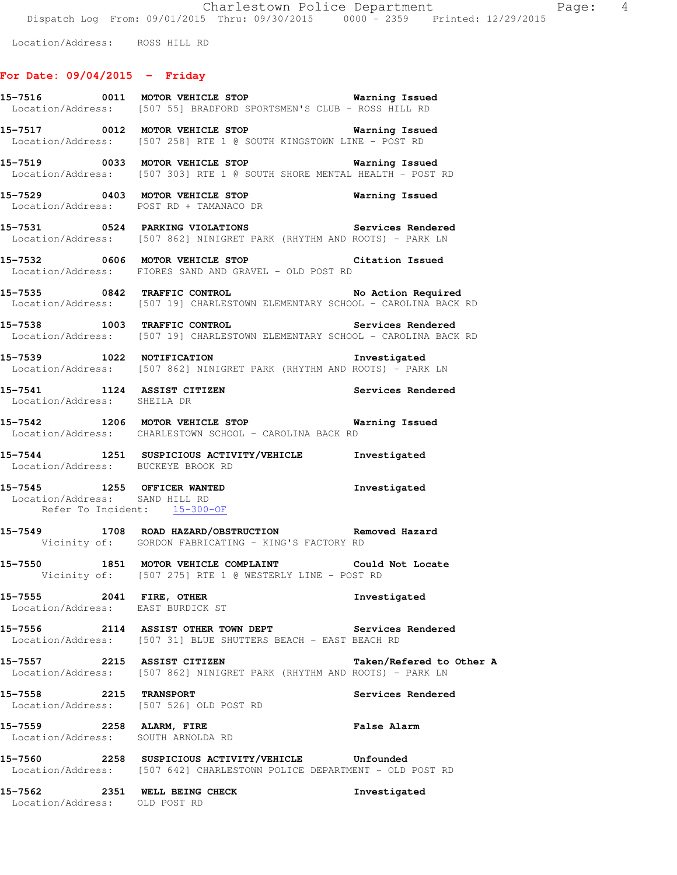Location/Address: ROSS HILL RD

## **For Date: 09/04/2015 - Friday**

|                                                                | 15-7516 0011 MOTOR VEHICLE STOP <b>120 Marning Issued</b><br>Location/Address: [507 55] BRADFORD SPORTSMEN'S CLUB - ROSS HILL RD |                          |
|----------------------------------------------------------------|----------------------------------------------------------------------------------------------------------------------------------|--------------------------|
|                                                                | 15-7517 0012 MOTOR VEHICLE STOP Warning Issued<br>Location/Address: [507 258] RTE 1 @ SOUTH KINGSTOWN LINE - POST RD             |                          |
|                                                                | 15-7519 0033 MOTOR VEHICLE STOP <b>Warning Issued</b><br>Location/Address: [507 303] RTE 1 @ SOUTH SHORE MENTAL HEALTH - POST RD |                          |
|                                                                | 15-7529 0403 MOTOR VEHICLE STOP Warning Issued<br>Location/Address: POST RD + TAMANACO DR                                        |                          |
|                                                                | 15-7531 0524 PARKING VIOLATIONS Services Rendered<br>Location/Address: [507 862] NINIGRET PARK (RHYTHM AND ROOTS) - PARK LN      |                          |
|                                                                | 15-7532 0606 MOTOR VEHICLE STOP Citation Issued<br>Location/Address: FIORES SAND AND GRAVEL - OLD POST RD                        |                          |
|                                                                | 15-7535 0842 TRAFFIC CONTROL No Action Required<br>Location/Address: [507 19] CHARLESTOWN ELEMENTARY SCHOOL - CAROLINA BACK RD   |                          |
|                                                                | 15-7538 1003 TRAFFIC CONTROL Services Rendered<br>Location/Address: [507 19] CHARLESTOWN ELEMENTARY SCHOOL - CAROLINA BACK RD    |                          |
|                                                                | 15-7539 1022 NOTIFICATION 1000 Investigated<br>Location/Address: [507 862] NINIGRET PARK (RHYTHM AND ROOTS) - PARK LN            |                          |
| Location/Address: SHEILA DR                                    |                                                                                                                                  |                          |
|                                                                | 15-7542 1206 MOTOR VEHICLE STOP Warning Issued<br>Location/Address: CHARLESTOWN SCHOOL - CAROLINA BACK RD                        |                          |
| Location/Address: BUCKEYE BROOK RD                             | <br>15-7544                1251    SUSPICIOUS ACTIVITY/VEHICLE              Investigated                                         |                          |
| Location/Address: SAND HILL RD<br>Refer To Incident: 15-300-OF | 15-7545 1255 OFFICER WANTED                                                                                                      | Investigated             |
|                                                                | 15-7549 1708 ROAD HAZARD/OBSTRUCTION Removed Hazard<br>Vicinity of: GORDON FABRICATING - KING'S FACTORY RD                       |                          |
|                                                                | 15-7550 1851 MOTOR VEHICLE COMPLAINT Could Not Locate<br>Vicinity of: [507 275] RTE 1 @ WESTERLY LINE - POST RD                  |                          |
| 15-7555 2041 FIRE, OTHER                                       | Location/Address: EAST BURDICK ST                                                                                                | Investigated             |
|                                                                | 15-7556 2114 ASSIST OTHER TOWN DEPT Services Rendered<br>Location/Address: [507 31] BLUE SHUTTERS BEACH - EAST BEACH RD          |                          |
| 15-7557 2215 ASSIST CITIZEN                                    | Location/Address: [507 862] NINIGRET PARK (RHYTHM AND ROOTS) - PARK LN                                                           | Taken/Refered to Other A |
| 15-7558                                                        | 2215 TRANSPORT<br>Location/Address: [507 526] OLD POST RD                                                                        | Services Rendered        |
| 15-7559 2258 ALARM, FIRE<br>Location/Address: SOUTH ARNOLDA RD |                                                                                                                                  | <b>False Alarm</b>       |
|                                                                | 15-7560 2258 SUSPICIOUS ACTIVITY/VEHICLE Unfounded<br>Location/Address: [507 642] CHARLESTOWN POLICE DEPARTMENT - OLD POST RD    |                          |
| 15-7562 2351 WELL BEING CHECK<br>Location/Address: OLD POST RD |                                                                                                                                  | Investigated             |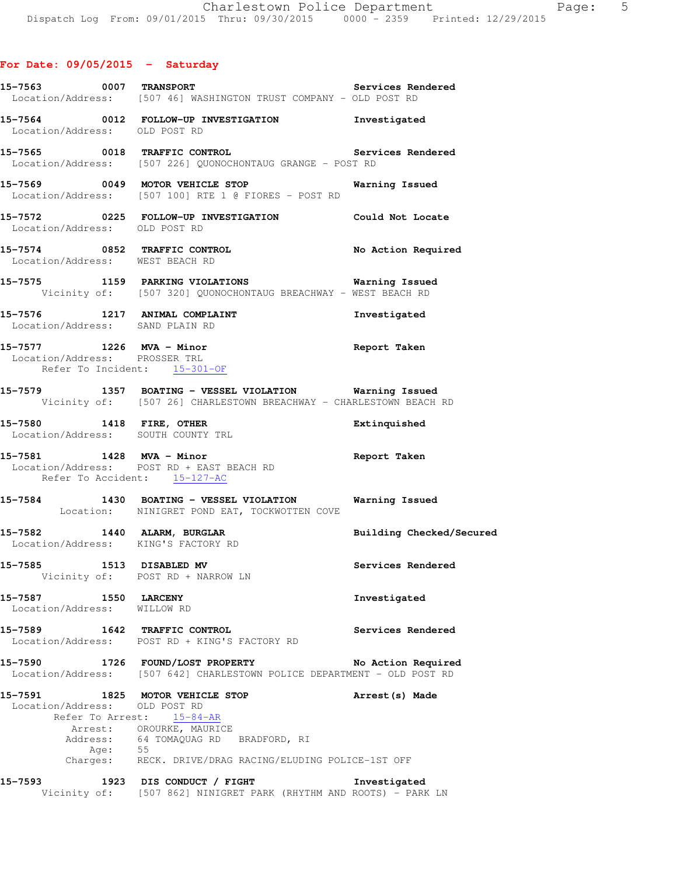|                                           |         | 15-7563 0007 TRANSPORT<br>Location/Address: [507 46] WASHINGTON TRUST COMPANY - OLD POST RD                                                                                        | Services Rendered  |
|-------------------------------------------|---------|------------------------------------------------------------------------------------------------------------------------------------------------------------------------------------|--------------------|
| Location/Address: OLD POST RD             |         | 15-7564 0012 FOLLOW-UP INVESTIGATION Investigated                                                                                                                                  |                    |
|                                           |         | 15-7565 0018 TRAFFIC CONTROL<br>Location/Address: [507 226] QUONOCHONTAUG GRANGE - POST RD                                                                                         | Services Rendered  |
|                                           |         | 15-7569 0049 MOTOR VEHICLE STOP Warning Issued<br>Location/Address: [507 100] RTE 1 @ FIORES - POST RD                                                                             |                    |
|                                           |         | 15-7572 0225 FOLLOW-UP INVESTIGATION Could Not Locate Location/Address: OLD POST RD                                                                                                |                    |
|                                           |         | 15-7574 0852 TRAFFIC CONTROL No Action Required Location/Address: WEST BEACH RD                                                                                                    |                    |
|                                           |         | 15-7575 1159 PARKING VIOLATIONS Warning Issued<br>Vicinity of: [507 320] QUONOCHONTAUG BREACHWAY - WEST BEACH RD                                                                   |                    |
|                                           |         | 15-7576 1217 ANIMAL COMPLAINT<br>Location/Address: SAND PLAIN RD                                                                                                                   | Investigated       |
|                                           |         | 15-7577 1226 MVA - Minor<br>Location/Address: PROSSER TRL<br>Refer To Incident: 15-301-OF                                                                                          | Report Taken       |
|                                           |         | 15-7579 1357 BOATING - VESSEL VIOLATION Warning Issued<br>Vicinity of: [507 26] CHARLESTOWN BREACHWAY - CHARLESTOWN BEACH RD                                                       |                    |
|                                           |         | 15-7580 1418 FIRE, OTHER<br>Location/Address: SOUTH COUNTY TRL                                                                                                                     | Extinquished       |
|                                           |         | 15-7581 1428 MVA - Minor<br>Location/Address: POST RD + EAST BEACH RD<br>Refer To Accident: 15-127-AC                                                                              | Report Taken       |
|                                           |         | 15-7584 1430 BOATING - VESSEL VIOLATION Warning Issued<br>Location: NINIGRET POND EAT, TOCKWOTTEN COVE                                                                             |                    |
|                                           |         | 15-7582 1440 ALARM, BURGLAR BURGER Building Checked/Secured<br>Location/Address: KING'S FACTORY RD                                                                                 |                    |
| 15-7585 1513 DISABLED MV                  |         | Vicinity of: POST RD + NARROW LN                                                                                                                                                   | Services Rendered  |
| 15-7587<br>Location/Address: WILLOW RD    |         | 1550 LARCENY                                                                                                                                                                       | Investigated       |
|                                           |         | 15-7589 1642 TRAFFIC CONTROL<br>Location/Address: POST RD + KING'S FACTORY RD                                                                                                      | Services Rendered  |
| 15-7590                                   |         | 1726 FOUND/LOST PROPERTY<br>Location/Address: [507 642] CHARLESTOWN POLICE DEPARTMENT - OLD POST RD                                                                                | No Action Required |
| Location/Address: OLD POST RD<br>Address: | Age: 55 | 15-7591 1825 MOTOR VEHICLE STOP<br>Refer To Arrest: 15-84-AR<br>Arrest: OROURKE, MAURICE<br>64 TOMAQUAG RD BRADFORD, RI<br>Charges: RECK. DRIVE/DRAG RACING/ELUDING POLICE-1ST OFF | Arrest (s) Made    |
| 15-7593                                   |         | 1923 DIS CONDUCT / FIGHT<br>Vicinity of: [507 862] NINIGRET PARK (RHYTHM AND ROOTS) - PARK LN                                                                                      | Investigated       |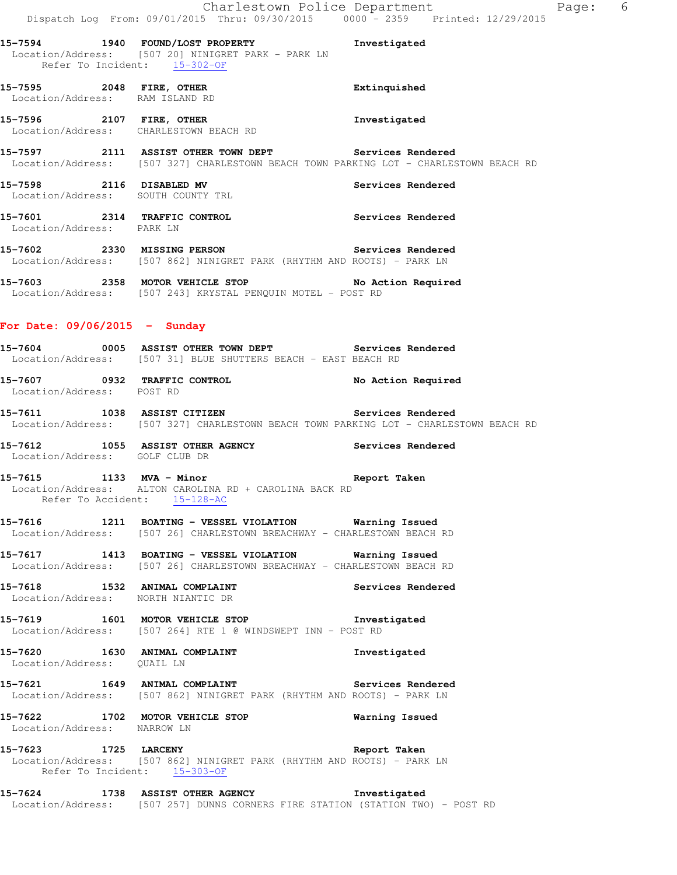**15-7594 1940 FOUND/LOST PROPERTY Investigated**  Location/Address: [507 20] NINIGRET PARK - PARK LN Refer To Incident: 15-302-OF

**15-7595 2048 FIRE, OTHER Extinquished**  Location/Address: RAM ISLAND RD

**15-7596 2107 FIRE, OTHER Investigated**  Location/Address: CHARLESTOWN BEACH RD

**15-7597 2111 ASSIST OTHER TOWN DEPT Services Rendered**  Location/Address: [507 327] CHARLESTOWN BEACH TOWN PARKING LOT - CHARLESTOWN BEACH RD

**15-7598 2116 DISABLED MV Services Rendered**  Location/Address: SOUTH COUNTY TRL

**15-7601 2314 TRAFFIC CONTROL Services Rendered**  Location/Address: PARK LN

**15-7602 2330 MISSING PERSON Services Rendered**  Location/Address: [507 862] NINIGRET PARK (RHYTHM AND ROOTS) - PARK LN

**15-7603 2358 MOTOR VEHICLE STOP No Action Required**  Location/Address: [507 243] KRYSTAL PENQUIN MOTEL - POST RD

#### **For Date: 09/06/2015 - Sunday**

**15-7604 0005 ASSIST OTHER TOWN DEPT Services Rendered**  Location/Address: [507 31] BLUE SHUTTERS BEACH - EAST BEACH RD

**15-7607 0932 TRAFFIC CONTROL No Action Required**  Location/Address: POST RD

**15-7611 1038 ASSIST CITIZEN Services Rendered**  Location/Address: [507 327] CHARLESTOWN BEACH TOWN PARKING LOT - CHARLESTOWN BEACH RD

**15-7612 1055 ASSIST OTHER AGENCY Services Rendered**  Location/Address: GOLF CLUB DR

**15-7615 1133 MVA - Minor Report Taken**  Location/Address: ALTON CAROLINA RD + CAROLINA BACK RD Refer To Accident: 15-128-AC

**15-7616 1211 BOATING - VESSEL VIOLATION Warning Issued**  Location/Address: [507 26] CHARLESTOWN BREACHWAY - CHARLESTOWN BEACH RD

**15-7617 1413 BOATING - VESSEL VIOLATION Warning Issued**  Location/Address: [507 26] CHARLESTOWN BREACHWAY - CHARLESTOWN BEACH RD

**15-7618 1532 ANIMAL COMPLAINT Services Rendered**  Location/Address: NORTH NIANTIC DR

**15-7619 1601 MOTOR VEHICLE STOP Investigated**  Location/Address: [507 264] RTE 1 @ WINDSWEPT INN - POST RD

**15-7620 1630 ANIMAL COMPLAINT Investigated**  Location/Address: QUAIL LN

**15-7621 1649 ANIMAL COMPLAINT Services Rendered**  Location/Address: [507 862] NINIGRET PARK (RHYTHM AND ROOTS) - PARK LN

**15-7622 1702 MOTOR VEHICLE STOP Warning Issued**  Location/Address: NARROW LN

**15-7623 1725 LARCENY Report Taken**  Location/Address: [507 862] NINIGRET PARK (RHYTHM AND ROOTS) - PARK LN Refer To Incident: 15-303-OF

**15-7624 1738 ASSIST OTHER AGENCY Investigated**  Location/Address: [507 257] DUNNS CORNERS FIRE STATION (STATION TWO) - POST RD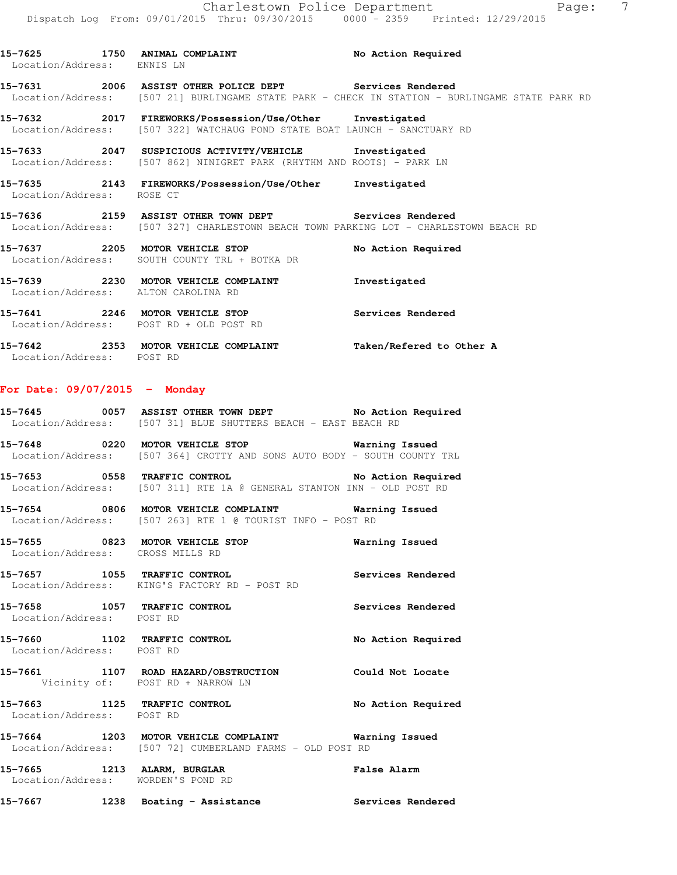**15-7625 1750 ANIMAL COMPLAINT No Action Required**  Location/Address: ENNIS LN **15-7631 2006 ASSIST OTHER POLICE DEPT Services Rendered**  Location/Address: [507 21] BURLINGAME STATE PARK - CHECK IN STATION - BURLINGAME STATE PARK RD **15-7632 2017 FIREWORKS/Possession/Use/Other Investigated**  Location/Address: [507 322] WATCHAUG POND STATE BOAT LAUNCH - SANCTUARY RD **15-7633 2047 SUSPICIOUS ACTIVITY/VEHICLE Investigated**  Location/Address: [507 862] NINIGRET PARK (RHYTHM AND ROOTS) - PARK LN **15-7635 2143 FIREWORKS/Possession/Use/Other Investigated**  Location/Address: ROSE CT **15-7636 2159 ASSIST OTHER TOWN DEPT Services Rendered**  Location/Address: [507 327] CHARLESTOWN BEACH TOWN PARKING LOT - CHARLESTOWN BEACH RD **15-7637 2205 MOTOR VEHICLE STOP No Action Required**  Location/Address: SOUTH COUNTY TRL + BOTKA DR **15-7639 2230 MOTOR VEHICLE COMPLAINT Investigated**  Location/Address: ALTON CAROLINA RD **15-7641 2246 MOTOR VEHICLE STOP Services Rendered**  Location/Address: POST RD + OLD POST RD

**15-7642 2353 MOTOR VEHICLE COMPLAINT Taken/Refered to Other A**  Location/Address: POST RD

#### **For Date: 09/07/2015 - Monday**

| 15-7645           |  |  | 0057 ASSIST OTHER TOWN DEPT                  |  |  | No Action Required |
|-------------------|--|--|----------------------------------------------|--|--|--------------------|
| Location/Address: |  |  | [507 31] BLUE SHUTTERS BEACH - EAST BEACH RD |  |  |                    |

**15-7648 0220 MOTOR VEHICLE STOP Warning Issued**  Location/Address: [507 364] CROTTY AND SONS AUTO BODY - SOUTH COUNTY TRL

**15-7653 0558 TRAFFIC CONTROL No Action Required**  Location/Address: [507 311] RTE 1A @ GENERAL STANTON INN - OLD POST RD

**15-7654 0806 MOTOR VEHICLE COMPLAINT Warning Issued**  Location/Address: [507 263] RTE 1 @ TOURIST INFO - POST RD

**15-7655 0823 MOTOR VEHICLE STOP Warning Issued**  Location/Address: CROSS MILLS RD

**15-7657 1055 TRAFFIC CONTROL Services Rendered**  Location/Address: KING'S FACTORY RD - POST RD

**15-7658 1057 TRAFFIC CONTROL Services Rendered**  Location/Address: POST RD

**15-7660 1102 TRAFFIC CONTROL No Action Required**  Location/Address: POST RD

**15-7661 1107 ROAD HAZARD/OBSTRUCTION Could Not Locate**  Vicinity of: POST RD + NARROW LN

**15-7663 1125 TRAFFIC CONTROL No Action Required**  Location/Address: POST RD

**15-7664 1203 MOTOR VEHICLE COMPLAINT Warning Issued**  Location/Address: [507 72] CUMBERLAND FARMS - OLD POST RD

**15-7665 1213 ALARM, BURGLAR False Alarm**  Location/Address: WORDEN'S POND RD

15-7667 **1238** Boating - Assistance **Services Rendered**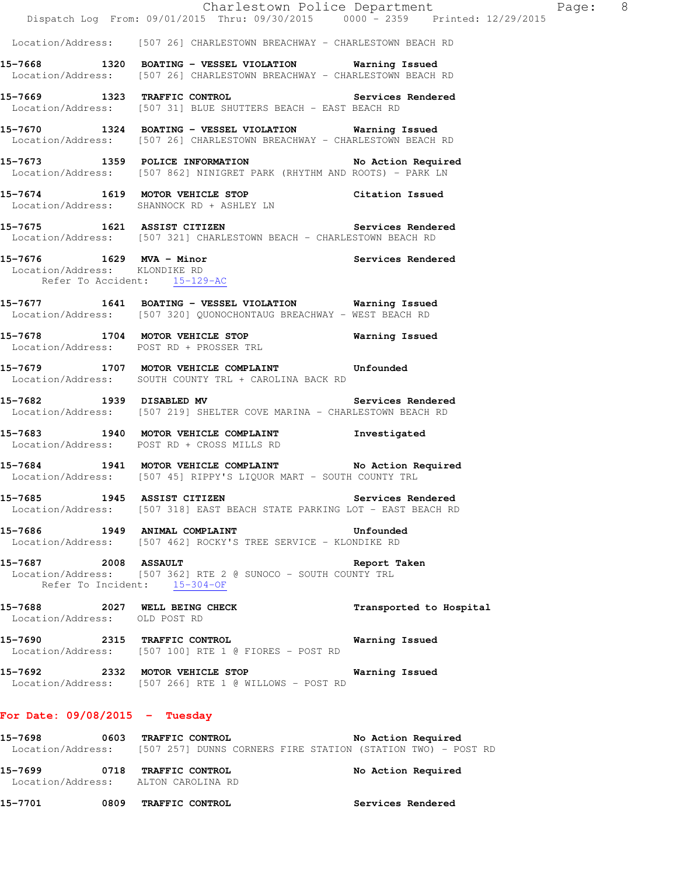|                                                      | Dispatch Log From: 09/01/2015 Thru: 09/30/2015 0000 - 2359 Printed: 12/29/2015                                                    | Charlestown Police Department | Page: 8 |  |
|------------------------------------------------------|-----------------------------------------------------------------------------------------------------------------------------------|-------------------------------|---------|--|
|                                                      | Location/Address: [507 26] CHARLESTOWN BREACHWAY - CHARLESTOWN BEACH RD                                                           |                               |         |  |
|                                                      | 15-7668 1320 BOATING - VESSEL VIOLATION Warning Issued<br>Location/Address: [507 26] CHARLESTOWN BREACHWAY - CHARLESTOWN BEACH RD |                               |         |  |
|                                                      | 15-7669 1323 TRAFFIC CONTROL Services Rendered<br>Location/Address: [507 31] BLUE SHUTTERS BEACH - EAST BEACH RD                  |                               |         |  |
|                                                      | 15-7670 1324 BOATING - VESSEL VIOLATION Warning Issued<br>Location/Address: [507 26] CHARLESTOWN BREACHWAY - CHARLESTOWN BEACH RD |                               |         |  |
|                                                      | 15-7673 1359 POLICE INFORMATION No Action Required<br>Location/Address: [507 862] NINIGRET PARK (RHYTHM AND ROOTS) - PARK LN      |                               |         |  |
|                                                      | 15-7674 1619 MOTOR VEHICLE STOP<br>Location/Address: SHANNOCK RD + ASHLEY LN                                                      | Citation Issued               |         |  |
|                                                      | 15-7675 1621 ASSIST CITIZEN 5ervices Rendered<br>Location/Address: [507 321] CHARLESTOWN BEACH - CHARLESTOWN BEACH RD             |                               |         |  |
| Refer To Accident: 15-129-AC                         | 15-7676 1629 MVA - Minor<br>Location/Address: KLONDIKE RD                                                                         | Services Rendered             |         |  |
|                                                      | 15-7677 1641 BOATING - VESSEL VIOLATION Warning Issued<br>Location/Address: [507 320] QUONOCHONTAUG BREACHWAY - WEST BEACH RD     |                               |         |  |
| Location/Address: POST RD + PROSSER TRL              | 15-7678 1704 MOTOR VEHICLE STOP                                                                                                   | Warning Issued                |         |  |
|                                                      | 15-7679 1707 MOTOR VEHICLE COMPLAINT Unfounded<br>Location/Address: SOUTH COUNTY TRL + CAROLINA BACK RD                           |                               |         |  |
|                                                      | 15-7682 1939 DISABLED MV<br>Location/Address: [507 219] SHELTER COVE MARINA - CHARLESTOWN BEACH RD                                | Services Rendered             |         |  |
|                                                      | 15-7683 1940 MOTOR VEHICLE COMPLAINT<br>Location/Address: POST RD + CROSS MILLS RD                                                | Investigated                  |         |  |
|                                                      | 15-7684 1941 MOTOR VEHICLE COMPLAINT No Action Required<br>Location/Address: [507 45] RIPPY'S LIQUOR MART - SOUTH COUNTY TRL      |                               |         |  |
|                                                      | 15-7685 1945 ASSIST CITIZEN Services Rendered<br>Location/Address: [507 318] EAST BEACH STATE PARKING LOT - EAST BEACH RD         |                               |         |  |
|                                                      | 15-7686 1949 ANIMAL COMPLAINT<br>Location/Address: [507 462] ROCKY'S TREE SERVICE - KLONDIKE RD                                   | Unfounded                     |         |  |
| 15-7687 2008 ASSAULT<br>Refer To Incident: 15-304-OF | Location/Address: [507 362] RTE 2 @ SUNOCO - SOUTH COUNTY TRL                                                                     | Report Taken                  |         |  |
| Location/Address: OLD POST RD                        | 15-7688 2027 WELL BEING CHECK Transported to Hospital                                                                             |                               |         |  |
|                                                      | 15-7690 2315 TRAFFIC CONTROL <b>National Properties Control</b><br>Location/Address: [507 100] RTE 1 @ FIORES - POST RD           |                               |         |  |
|                                                      | 15-7692 2332 MOTOR VEHICLE STOP 6 Warning Issued<br>Location/Address: [507 266] RTE 1 @ WILLOWS - POST RD                         |                               |         |  |
| For Date: $09/08/2015$ - Tuesday                     |                                                                                                                                   |                               |         |  |
|                                                      | 15-7698 0603 TRAFFIC CONTROL No Action Required<br>Location/Address: [507 257] DUNNS CORNERS FIRE STATION (STATION TWO) - POST RD |                               |         |  |
|                                                      |                                                                                                                                   |                               |         |  |

**15-7699 0718 TRAFFIC CONTROL No Action Required**  Location/Address: ALTON CAROLINA RD

**15-7701 0809 TRAFFIC CONTROL Services Rendered**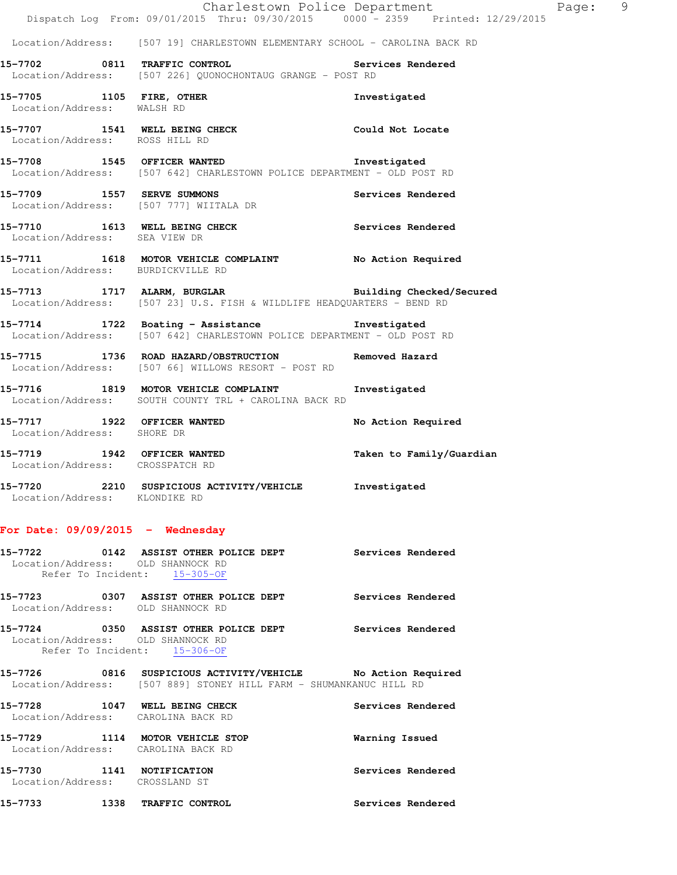|                                   | Dispatch Log From: 09/01/2015 Thru: 09/30/2015 0000 - 2359 Printed: 12/29/2015                                                      | Charlestown Police Department | $\overline{9}$<br>Page: |
|-----------------------------------|-------------------------------------------------------------------------------------------------------------------------------------|-------------------------------|-------------------------|
|                                   | Location/Address: [507 19] CHARLESTOWN ELEMENTARY SCHOOL - CAROLINA BACK RD                                                         |                               |                         |
|                                   | 15-7702 0811 TRAFFIC CONTROL Services Rendered<br>Location/Address: [507 226] QUONOCHONTAUG GRANGE - POST RD                        |                               |                         |
| Location/Address: WALSH RD        | 15-7705 1105 FIRE, OTHER                                                                                                            | Investigated                  |                         |
| Location/Address: ROSS HILL RD    | 15-7707 1541 WELL BEING CHECK Could Not Locate                                                                                      |                               |                         |
|                                   | 15-7708 1545 OFFICER WANTED 15-7708<br>Location/Address: [507 642] CHARLESTOWN POLICE DEPARTMENT - OLD POST RD                      |                               |                         |
|                                   | 15-7709 1557 SERVE SUMMONS<br>Location/Address: [507 777] WIITALA DR                                                                | Services Rendered             |                         |
| Location/Address: SEA VIEW DR     | 15-7710 1613 WELL BEING CHECK Services Rendered                                                                                     |                               |                         |
| Location/Address: BURDICKVILLE RD | 15-7711 1618 MOTOR VEHICLE COMPLAINT No Action Required                                                                             |                               |                         |
|                                   | 15-7713 1717 ALARM, BURGLAR 2008 Building Checked/Secured<br>Location/Address: [507 23] U.S. FISH & WILDLIFE HEADQUARTERS - BEND RD |                               |                         |
|                                   | 15-7714 1722 Boating - Assistance 1nvestigated<br>Location/Address: [507 642] CHARLESTOWN POLICE DEPARTMENT - OLD POST RD           |                               |                         |
|                                   | 15-7715 1736 ROAD HAZARD/OBSTRUCTION Removed Hazard<br>Location/Address: [507 66] WILLOWS RESORT - POST RD                          |                               |                         |
|                                   | 15-7716 1819 MOTOR VEHICLE COMPLAINT 1nvestigated<br>Location/Address: SOUTH COUNTY TRL + CAROLINA BACK RD                          |                               |                         |
| Location/Address: SHORE DR        | 15-7717 1922 OFFICER WANTED                                                                                                         | No Action Required            |                         |
| Location/Address: CROSSPATCH RD   | 15-7719 1942 OFFICER WANTED                                                                                                         | Taken to Family/Guardian      |                         |
| Location/Address: KLONDIKE RD     | 15-7720 2210 SUSPICIOUS ACTIVITY/VEHICLE Investigated                                                                               |                               |                         |

## **For Date: 09/09/2015 - Wednesday**

| Location/Address: OLD SHANNOCK RD                           | 15-7722 		 0142 ASSIST OTHER POLICE DEPT Services Rendered<br>Refer To Incident: 15-305-OF                                        |                   |
|-------------------------------------------------------------|-----------------------------------------------------------------------------------------------------------------------------------|-------------------|
| Location/Address: OLD SHANNOCK RD                           | 15-7723 6307 ASSIST OTHER POLICE DEPT Services Rendered                                                                           |                   |
| Location/Address: OLD SHANNOCK RD                           | 15-7724 0350 ASSIST OTHER POLICE DEPT Services Rendered<br>Refer To Incident: 15-306-OF                                           |                   |
|                                                             | 15-7726 0816 SUSPICIOUS ACTIVITY/VEHICLE No Action Required<br>Location/Address: [507 889] STONEY HILL FARM - SHUMANKANUC HILL RD |                   |
| Location/Address: CAROLINA BACK RD                          | 15-7728 1047 WELL BEING CHECK                                                                                                     | Services Rendered |
| Location/Address: CAROLINA BACK RD                          | 15-7729 1114 MOTOR VEHICLE STOP                                                                                                   | Warning Issued    |
| 15-7730 1141 NOTIFICATION<br>Location/Address: CROSSLAND ST |                                                                                                                                   | Services Rendered |
| 15-7733 1338 TRAFFIC CONTROL                                |                                                                                                                                   | Services Rendered |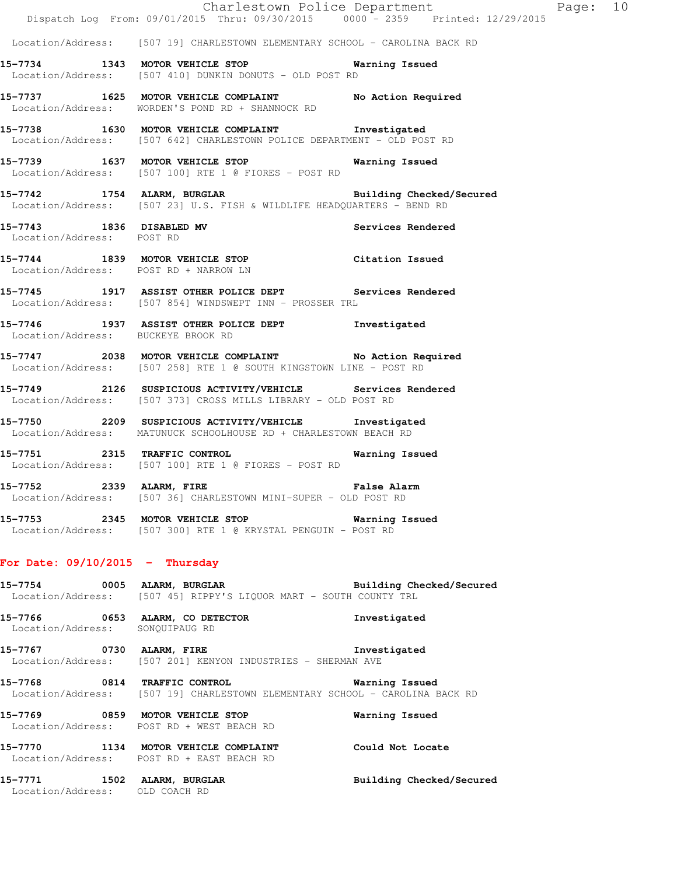|                                                               | Dispatch Log From: 09/01/2015 Thru: 09/30/2015   0000 - 2359   Printed: 12/29/2015                                                        | Charlestown Police Department Page: 10 |  |
|---------------------------------------------------------------|-------------------------------------------------------------------------------------------------------------------------------------------|----------------------------------------|--|
|                                                               | Location/Address: [507 19] CHARLESTOWN ELEMENTARY SCHOOL - CAROLINA BACK RD                                                               |                                        |  |
|                                                               | 15-7734 1343 MOTOR VEHICLE STOP Warning Issued<br>Location/Address: [507 410] DUNKIN DONUTS - OLD POST RD                                 |                                        |  |
|                                                               | 15-7737 1625 MOTOR VEHICLE COMPLAINT No Action Required<br>Location/Address: WORDEN'S POND RD + SHANNOCK RD                               |                                        |  |
|                                                               | 15-7738 1630 MOTOR VEHICLE COMPLAINT Threstigated<br>Location/Address: [507 642] CHARLESTOWN POLICE DEPARTMENT - OLD POST RD              |                                        |  |
|                                                               | 15-7739 1637 MOTOR VEHICLE STOP 6 Warning Issued<br>Location/Address: [507 100] RTE 1 @ FIORES - POST RD                                  |                                        |  |
|                                                               | 15-7742 1754 ALARM, BURGLAR BURGER Building Checked/Secured<br>Location/Address: [507 23] U.S. FISH & WILDLIFE HEADQUARTERS - BEND RD     |                                        |  |
| Location/Address: POST RD                                     | 15-7743 1836 DISABLED MV                                                                                                                  | Services Rendered                      |  |
|                                                               | 15-7744 1839 MOTOR VEHICLE STOP Citation Issued<br>Location/Address: POST RD + NARROW LN                                                  |                                        |  |
|                                                               | 15-7745 1917 ASSIST OTHER POLICE DEPT Services Rendered<br>Location/Address: [507 854] WINDSWEPT INN - PROSSER TRL                        |                                        |  |
| Location/Address: BUCKEYE BROOK RD                            | 15-7746 1937 ASSIST OTHER POLICE DEPT 1nvestigated                                                                                        |                                        |  |
|                                                               | 15-7747 2038 MOTOR VEHICLE COMPLAINT No Action Required<br>Location/Address: [507 258] RTE 1 @ SOUTH KINGSTOWN LINE - POST RD             |                                        |  |
|                                                               | 15-7749 2126 SUSPICIOUS ACTIVITY/VEHICLE Services Rendered<br>Location/Address: [507 373] CROSS MILLS LIBRARY - OLD POST RD               |                                        |  |
|                                                               | 15-7750 2209 SUSPICIOUS ACTIVITY/VEHICLE Investigated<br>Location/Address: MATUNUCK SCHOOLHOUSE RD + CHARLESTOWN BEACH RD                 |                                        |  |
|                                                               | 15-7751 2315 TRAFFIC CONTROL<br>Location/Address: [507 100] RTE 1 @ FIORES - POST RD                                                      | Warning Issued                         |  |
| 15-7752 2339 ALARM, FIRE                                      | Location/Address: [507 36] CHARLESTOWN MINI-SUPER - OLD POST RD                                                                           | <b>False Alarm</b>                     |  |
|                                                               | 15-7753 2345 MOTOR VEHICLE STOP 6 Warning Issued<br>Location/Address: [507 300] RTE 1 @ KRYSTAL PENGUIN - POST RD                         |                                        |  |
| For Date: $09/10/2015$ - Thursday                             |                                                                                                                                           |                                        |  |
|                                                               | 15-7754 0005 ALARM, BURGLAR Building Checked/Secured<br>Location/Address: [507 45] RIPPY'S LIQUOR MART - SOUTH COUNTY TRL                 |                                        |  |
| Location/Address: SONQUIPAUG RD                               | 15-7766 0653 ALARM, CO DETECTOR                                                                                                           | Investigated                           |  |
|                                                               | 15-7767 0730 ALARM, FIRE<br>Location/Address: [507 201] KENYON INDUSTRIES - SHERMAN AVE                                                   | Investigated                           |  |
|                                                               | 15-7768 0814 TRAFFIC CONTROL <b>15-7768</b> Warning Issued<br>Location/Address: [507 19] CHARLESTOWN ELEMENTARY SCHOOL - CAROLINA BACK RD |                                        |  |
|                                                               | 15-7769 0859 MOTOR VEHICLE STOP<br>Location/Address: POST RD + WEST BEACH RD                                                              | Warning Issued                         |  |
|                                                               | 15-7770 1134 MOTOR VEHICLE COMPLAINT Could Not Locate<br>Location/Address: POST RD + EAST BEACH RD                                        |                                        |  |
| 15-7771 1502 ALARM, BURGLAR<br>Location/Address: OLD COACH RD |                                                                                                                                           | Building Checked/Secured               |  |
|                                                               |                                                                                                                                           |                                        |  |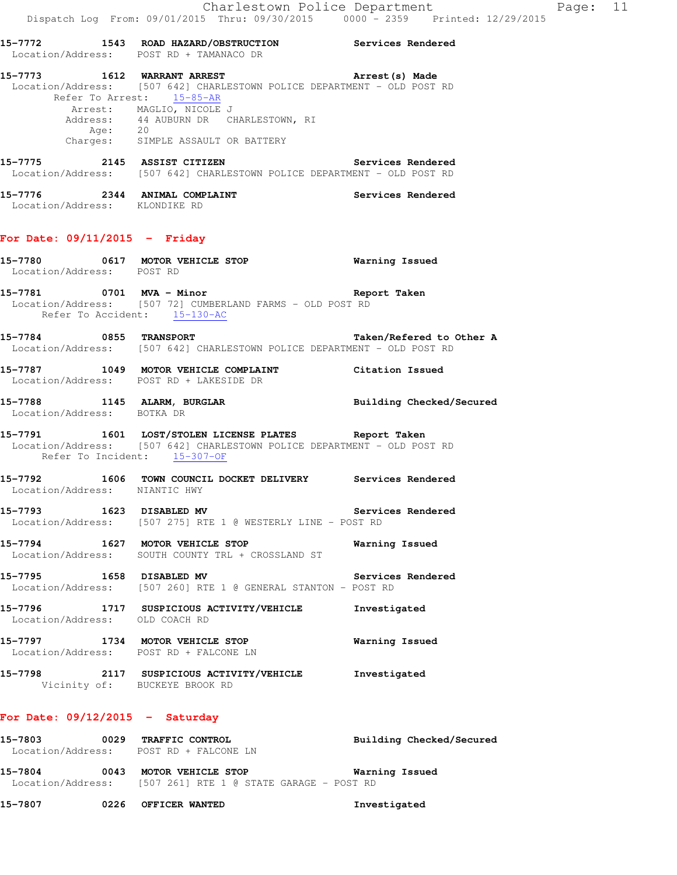Location/Address: [507 642] CHARLESTOWN POLICE DEPARTMENT - OLD POST RD Refer To Arrest: 15-85-AR Arrest: MAGLIO, NICOLE J Address: 44 AUBURN DR CHARLESTOWN, RI Age: 20 Charges: SIMPLE ASSAULT OR BATTERY

**15-7775 2145 ASSIST CITIZEN Services Rendered**  Location/Address: [507 642] CHARLESTOWN POLICE DEPARTMENT - OLD POST RD

**15-7776 2344 ANIMAL COMPLAINT Services Rendered**  Location/Address: KLONDIKE RD

#### **For Date: 09/11/2015 - Friday**

| Location/Address: POST RD         | 15-7780 0617 MOTOR VEHICLE STOP Warning Issued                                                                                                                  |                   |
|-----------------------------------|-----------------------------------------------------------------------------------------------------------------------------------------------------------------|-------------------|
|                                   | 15-7781 0701 MVA - Minor<br>Location/Address: [507 72] CUMBERLAND FARMS - OLD POST RD<br>Refer To Accident: 15-130-AC                                           | Report Taken      |
|                                   | 15-7784 0855 TRANSPORT TRADESTOWN POLICE DEPARTMENT - OLD POST RD<br>Location/Address: [507 642] CHARLESTOWN POLICE DEPARTMENT - OLD POST RD                    |                   |
|                                   | 15-7787 1049 MOTOR VEHICLE COMPLAINT Citation Issued<br>Location/Address: POST RD + LAKESIDE DR                                                                 |                   |
|                                   | 15-7788 1145 ALARM, BURGLAR BURGLAR Building Checked/Secured<br>Location/Address: BOTKA DR                                                                      |                   |
|                                   | 15-7791 1601 LOST/STOLEN LICENSE PLATES Report Taken<br>Location/Address: [507 642] CHARLESTOWN POLICE DEPARTMENT - OLD POST RD<br>Refer To Incident: 15-307-OF |                   |
| Location/Address: NIANTIC HWY     | 15-7792 1606 TOWN COUNCIL DOCKET DELIVERY Services Rendered                                                                                                     |                   |
|                                   | 15-7793 1623 DISABLED MV Servic<br>Location/Address: [507 275] RTE 1 @ WESTERLY LINE - POST RD                                                                  | Services Rendered |
|                                   | 15-7794 1627 MOTOR VEHICLE STOP <b>WATNING</b> Issued<br>Location/Address: SOUTH COUNTY TRL + CROSSLAND ST                                                      |                   |
| 15-7795 1658 DISABLED MV          | Location/Address: [507 260] RTE 1 @ GENERAL STANTON - POST RD                                                                                                   | Services Rendered |
| Location/Address: OLD COACH RD    | 15-7796 1717 SUSPICIOUS ACTIVITY/VEHICLE Investigated                                                                                                           |                   |
|                                   | 15-7797 1734 MOTOR VEHICLE STOP 6 Warning Issued<br>Location/Address: POST RD + FALCONE LN                                                                      |                   |
|                                   | 15-7798 2117 SUSPICIOUS ACTIVITY/VEHICLE Investigated<br>Vicinity of: BUCKEYE BROOK RD                                                                          |                   |
| For Date: $09/12/2015$ - Saturday |                                                                                                                                                                 |                   |

| 15-7803           | 0029 | <b>TRAFFIC CONTROL</b>                   | Building Checked/Secured |
|-------------------|------|------------------------------------------|--------------------------|
| Location/Address: |      | POST RD + FALCONE LN                     |                          |
| 15-7804           | 0043 | MOTOR VEHICLE STOP                       | Warning Issued           |
| Location/Address: |      | [507 261] RTE 1 @ STATE GARAGE - POST RD |                          |

**15-7807 0226 OFFICER WANTED Investigated**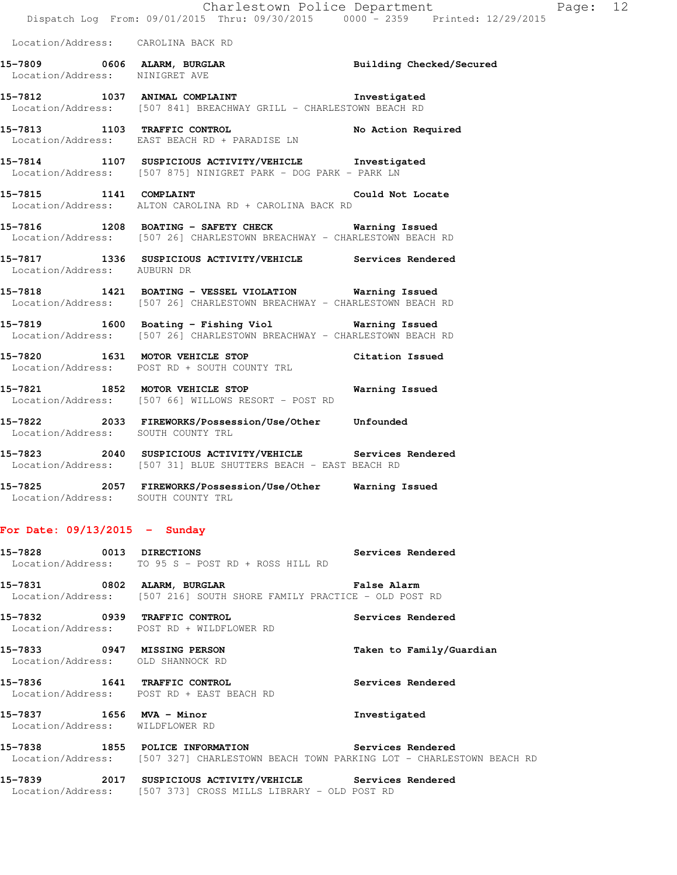| Location/Address: | CAROLINA BACK RD |  |  |
|-------------------|------------------|--|--|
|-------------------|------------------|--|--|

| 15-7809           | 0606 ALARM, BURGLAR | Building Checked/Secured |
|-------------------|---------------------|--------------------------|
| Location/Address: | NINIGRET AVE        |                          |

**15-7812 1037 ANIMAL COMPLAINT Investigated**  Location/Address: [507 841] BREACHWAY GRILL - CHARLESTOWN BEACH RD

15-7813 1103 TRAFFIC CONTROL **No Action Required** Location/Address: EAST BEACH RD + PARADISE LN

**15-7814 1107 SUSPICIOUS ACTIVITY/VEHICLE Investigated**  Location/Address: [507 875] NINIGRET PARK - DOG PARK - PARK LN

**15-7815 1141 COMPLAINT Could Not Locate**  Location/Address: ALTON CAROLINA RD + CAROLINA BACK RD

**15-7816 1208 BOATING - SAFETY CHECK Warning Issued**  Location/Address: [507 26] CHARLESTOWN BREACHWAY - CHARLESTOWN BEACH RD

**15-7817 1336 SUSPICIOUS ACTIVITY/VEHICLE Services Rendered**  Location/Address: AUBURN DR

**15-7818 1421 BOATING - VESSEL VIOLATION Warning Issued**  Location/Address: [507 26] CHARLESTOWN BREACHWAY - CHARLESTOWN BEACH RD

**15-7819 1600 Boating - Fishing Viol Warning Issued**  Location/Address: [507 26] CHARLESTOWN BREACHWAY - CHARLESTOWN BEACH RD

**15-7820 1631 MOTOR VEHICLE STOP Citation Issued**  Location/Address: POST RD + SOUTH COUNTY TRL

**15-7821 1852 MOTOR VEHICLE STOP Warning Issued**  Location/Address: [507 66] WILLOWS RESORT - POST RD

**15-7822 2033 FIREWORKS/Possession/Use/Other Unfounded**  Location/Address: SOUTH COUNTY TRL

**15-7823 2040 SUSPICIOUS ACTIVITY/VEHICLE Services Rendered**  Location/Address: [507 31] BLUE SHUTTERS BEACH - EAST BEACH RD

**15-7825 2057 FIREWORKS/Possession/Use/Other Warning Issued**  Location/Address: SOUTH COUNTY TRL

### **For Date: 09/13/2015 - Sunday**

| 15-7828 0013 DIRECTIONS                                     | <b>Services Rendered</b><br>Location/Address: TO 95 S - POST RD + ROSS HILL RD                                                             |                          |
|-------------------------------------------------------------|--------------------------------------------------------------------------------------------------------------------------------------------|--------------------------|
|                                                             | 15-7831 6802 ALARM, BURGLAR 1999 (Palse Alarm<br>Location/Address: [507 216] SOUTH SHORE FAMILY PRACTICE - OLD POST RD                     |                          |
|                                                             | 15-7832 0939 TRAFFIC CONTROL <b>15-7832</b> Services Rendered<br>Location/Address: POST RD + WILDFLOWER RD                                 |                          |
| Location/Address: OLD SHANNOCK RD                           | 15-7833 0947 MISSING PERSON                                                                                                                | Taken to Family/Guardian |
|                                                             | 15-7836 1641 TRAFFIC CONTROL<br>Location/Address: POST RD + EAST BEACH RD                                                                  | Services Rendered        |
| 15-7837 1656 MVA - Minor<br>Location/Address: WILDFLOWER RD |                                                                                                                                            | Investigated             |
|                                                             | 15-7838 1855 POLICE INFORMATION 5ervices Rendered<br>Location/Address: [507 327] CHARLESTOWN BEACH TOWN PARKING LOT - CHARLESTOWN BEACH RD |                          |
|                                                             | 15-7839 2017 SUSPICIOUS ACTIVITY/VEHICLE Services Rendered<br>Location/Address: [507 373] CROSS MILLS LIBRARY - OLD POST RD                |                          |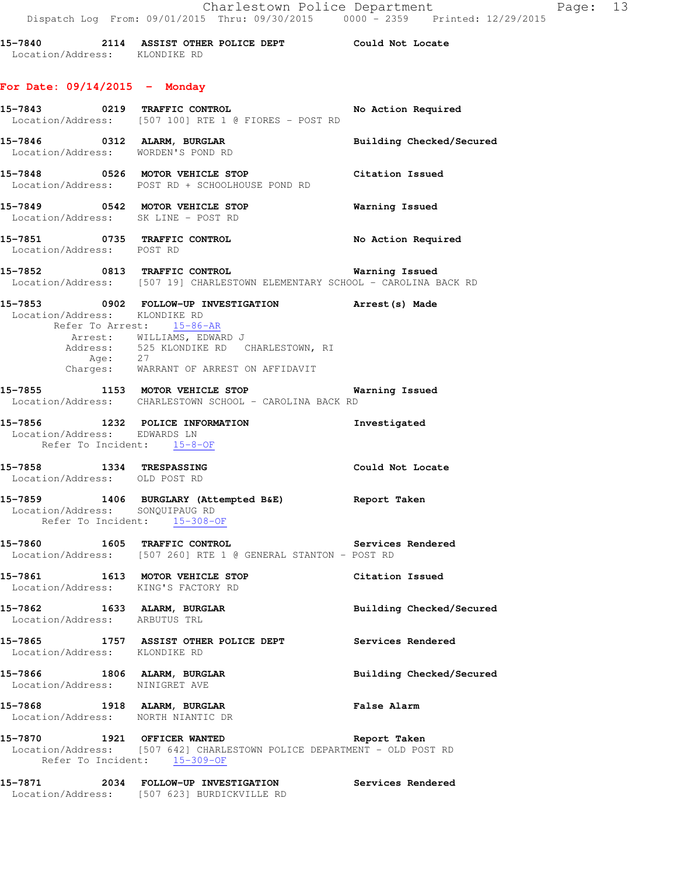| 15-7840           |             | 2114 ASSIST OTHER POLICE DEPT |  | Could Not Locate |  |
|-------------------|-------------|-------------------------------|--|------------------|--|
| Location/Address: | KLONDIKE RD |                               |  |                  |  |

## **For Date: 09/14/2015 - Monday**

| 15-7843 0219 TRAFFIC CONTROL                                           | Location/Address: [507 100] RTE 1 @ FIORES - POST RD                                                                                                                                                             | No Action Required       |
|------------------------------------------------------------------------|------------------------------------------------------------------------------------------------------------------------------------------------------------------------------------------------------------------|--------------------------|
|                                                                        | 15-7846 0312 ALARM, BURGLAR<br>Location/Address: WORDEN'S POND RD                                                                                                                                                | Building Checked/Secured |
|                                                                        | 15-7848 0526 MOTOR VEHICLE STOP<br>Location/Address: POST RD + SCHOOLHOUSE POND RD                                                                                                                               | Citation Issued          |
|                                                                        | 15-7849 0542 MOTOR VEHICLE STOP<br>Location/Address: SK LINE - POST RD                                                                                                                                           | <b>Warning Issued</b>    |
| Location/Address: POST RD                                              | 15-7851 0735 TRAFFIC CONTROL                                                                                                                                                                                     | No Action Required       |
|                                                                        | Location/Address: [507 19] CHARLESTOWN ELEMENTARY SCHOOL - CAROLINA BACK RD                                                                                                                                      |                          |
| Location/Address: KLONDIKE RD                                          | 15-7853 0902 FOLLOW-UP INVESTIGATION Arrest(s) Made<br>Refer To Arrest: 15-86-AR<br>Arrest: WILLIAMS, EDWARD J<br>Address: 525 KLONDIKE RD CHARLESTOWN, RI<br>Age: 27<br>Charges: WARRANT OF ARREST ON AFFIDAVIT |                          |
|                                                                        | 15-7855 1153 MOTOR VEHICLE STOP 1991 Marning Issued<br>Location/Address: CHARLESTOWN SCHOOL - CAROLINA BACK RD                                                                                                   |                          |
| Refer To Incident: 15-8-OF                                             | 15-7856 1232 POLICE INFORMATION Investigated<br>Location/Address: EDWARDS LN                                                                                                                                     |                          |
| 15-7858 1334 TRESPASSING<br>Location/Address: OLD POST RD              |                                                                                                                                                                                                                  | Could Not Locate         |
| Location/Address: SONQUIPAUG RD<br>Refer To Incident: 15-308-OF        | 15-7859 1406 BURGLARY (Attempted B&E) Report Taken                                                                                                                                                               |                          |
|                                                                        | 15-7860 1605 TRAFFIC CONTROL 1000 Services Rendered<br>Location/Address: [507 260] RTE 1 @ GENERAL STANTON - POST RD                                                                                             |                          |
| 15-7861 1613 MOTOR VEHICLE STOP<br>Location/Address: KING'S FACTORY RD |                                                                                                                                                                                                                  | Citation Issued          |
| 15-7862<br>Location/Address: ARBUTUS TRL                               | 1633 ALARM, BURGLAR                                                                                                                                                                                              | Building Checked/Secured |
|                                                                        | 15-7865 1757 ASSIST OTHER POLICE DEPT<br>Location/Address: KLONDIKE RD                                                                                                                                           | Services Rendered        |
| 15-7866 1806 ALARM, BURGLAR<br>Location/Address: NINIGRET AVE          |                                                                                                                                                                                                                  | Building Checked/Secured |
| 15-7868 1918 ALARM, BURGLAR<br>Location/Address: NORTH NIANTIC DR      |                                                                                                                                                                                                                  | <b>False Alarm</b>       |
| 15-7870 1921 OFFICER WANTED                                            | Location/Address: [507 642] CHARLESTOWN POLICE DEPARTMENT - OLD POST RD<br>Refer To Incident: 15-309-OF                                                                                                          | Report Taken             |
|                                                                        | 15-7871 2034 FOLLOW-UP INVESTIGATION                                                                                                                                                                             | Services Rendered        |

Location/Address: [507 623] BURDICKVILLE RD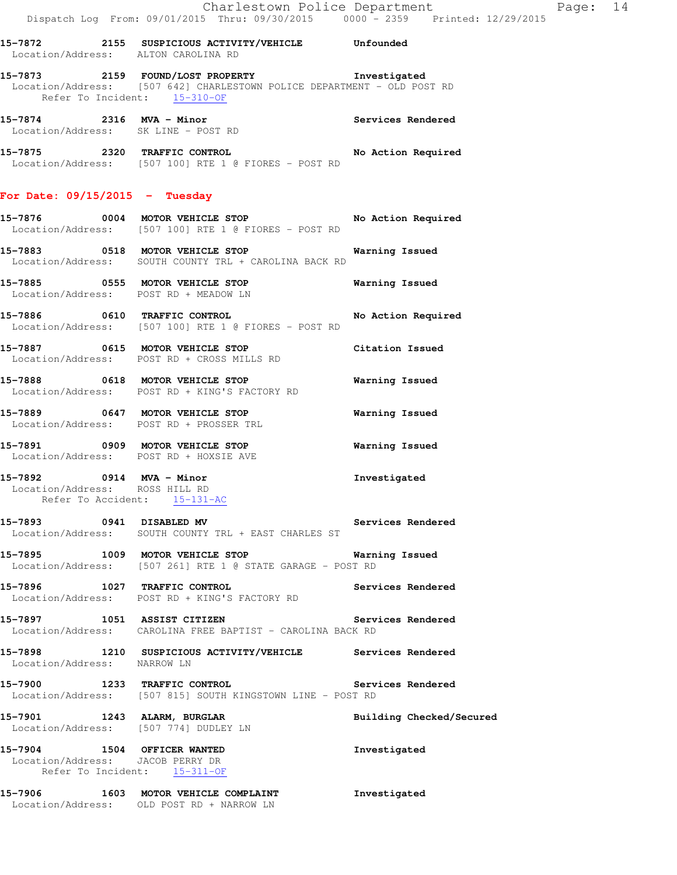|                                  |      | Location/Address: ALTON CAROLINA RD                                                                                                         | Unfounded          |
|----------------------------------|------|---------------------------------------------------------------------------------------------------------------------------------------------|--------------------|
|                                  |      | 15-7873 2159 FOUND/LOST PROPERTY<br>Location/Address: [507 642] CHARLESTOWN POLICE DEPARTMENT - OLD POST RD<br>Refer To Incident: 15-310-OF | Investigated       |
| 15-7874 2316 MVA - Minor         |      | Location/Address: SK LINE - POST RD                                                                                                         | Services Rendered  |
| 15-7875 2320 TRAFFIC CONTROL     |      | Location/Address: [507 100] RTE 1 @ FIORES - POST RD                                                                                        | No Action Required |
| For Date: $09/15/2015$ - Tuesday |      |                                                                                                                                             |                    |
| 15-7876                          |      | 0004 MOTOR VEHICLE STOP<br>Location/Address: [507 100] RTE 1 @ FIORES - POST RD                                                             | No Action Required |
| 15-7883                          | 0518 | MOTOR VEHICLE STOP                                                                                                                          | Warning Issued     |

**15-7885 0555 MOTOR VEHICLE STOP Warning Issued**  Location/Address: POST RD + MEADOW LN

**15-7886 0610 TRAFFIC CONTROL No Action Required**  Location/Address: [507 100] RTE 1 @ FIORES - POST RD

**15-7887 0615 MOTOR VEHICLE STOP Citation Issued**  Location/Address: POST RD + CROSS MILLS RD

Location/Address: SOUTH COUNTY TRL + CAROLINA BACK RD

**15-7888 0618 MOTOR VEHICLE STOP Warning Issued**  Location/Address: POST RD + KING'S FACTORY RD

**15-7889 0647 MOTOR VEHICLE STOP Warning Issued**  Location/Address: POST RD + PROSSER TRL

**15-7891 0909 MOTOR VEHICLE STOP Warning Issued**  Location/Address: POST RD + HOXSIE AVE

**15-7892 0914 MVA - Minor Investigated**  Location/Address: ROSS HILL RD Refer To Accident: 15-131-AC

**15-7893 0941 DISABLED MV Services Rendered**  Location/Address: SOUTH COUNTY TRL + EAST CHARLES ST

**15-7895 1009 MOTOR VEHICLE STOP Warning Issued**  Location/Address: [507 261] RTE 1 @ STATE GARAGE - POST RD

**15-7896 1027 TRAFFIC CONTROL Services Rendered**  Location/Address: POST RD + KING'S FACTORY RD

**15-7897 1051 ASSIST CITIZEN Services Rendered**  Location/Address: CAROLINA FREE BAPTIST - CAROLINA BACK RD

**15-7898 1210 SUSPICIOUS ACTIVITY/VEHICLE Services Rendered**  Location/Address: NARROW LN

**15-7900 1233 TRAFFIC CONTROL Services Rendered**  Location/Address: [507 815] SOUTH KINGSTOWN LINE - POST RD

**15-7901 1243 ALARM, BURGLAR Building Checked/Secured**  Location/Address: [507 774] DUDLEY LN

**15-7904 1504 OFFICER WANTED Investigated**  Location/Address: JACOB PERRY DR Refer To Incident: 15-311-OF

**15-7906 1603 MOTOR VEHICLE COMPLAINT Investigated**  Location/Address: OLD POST RD + NARROW LN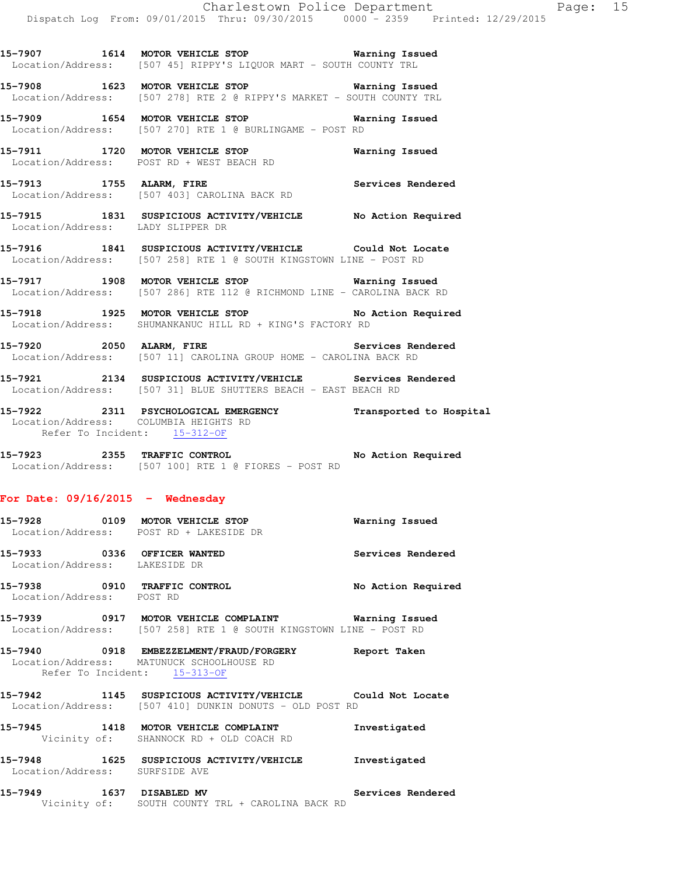**15-7907 1614 MOTOR VEHICLE STOP Warning Issued**  Location/Address: [507 45] RIPPY'S LIQUOR MART - SOUTH COUNTY TRL

**15-7908 1623 MOTOR VEHICLE STOP Warning Issued**  Location/Address: [507 278] RTE 2 @ RIPPY'S MARKET - SOUTH COUNTY TRL

**15-7909 1654 MOTOR VEHICLE STOP Warning Issued**  Location/Address: [507 270] RTE 1 @ BURLINGAME - POST RD

**15-7911 1720 MOTOR VEHICLE STOP Warning Issued**  Location/Address: POST RD + WEST BEACH RD

15-7913 1755 ALARM, FIRE **Services Rendered** Location/Address: [507 403] CAROLINA BACK RD

**15-7915 1831 SUSPICIOUS ACTIVITY/VEHICLE No Action Required**  Location/Address: LADY SLIPPER DR

**15-7916 1841 SUSPICIOUS ACTIVITY/VEHICLE Could Not Locate**  Location/Address: [507 258] RTE 1 @ SOUTH KINGSTOWN LINE - POST RD

**15-7917 1908 MOTOR VEHICLE STOP Warning Issued**  Location/Address: [507 286] RTE 112 @ RICHMOND LINE - CAROLINA BACK RD

**15-7918 1925 MOTOR VEHICLE STOP No Action Required**  Location/Address: SHUMANKANUC HILL RD + KING'S FACTORY RD

**15-7920 2050 ALARM, FIRE Services Rendered**  Location/Address: [507 11] CAROLINA GROUP HOME - CAROLINA BACK RD

**15-7921 2134 SUSPICIOUS ACTIVITY/VEHICLE Services Rendered**  Location/Address: [507 31] BLUE SHUTTERS BEACH - EAST BEACH RD

**15-7922 2311 PSYCHOLOGICAL EMERGENCY Transported to Hospital**  Location/Address: COLUMBIA HEIGHTS RD Refer To Incident: 15-312-OF

**15-7923 2355 TRAFFIC CONTROL No Action Required**  Location/Address: [507 100] RTE 1 @ FIORES - POST RD

#### **For Date: 09/16/2015 - Wednesday**

Location/Address: POST RD

| 15–7928 | 0109 | MOTOR VEHICLE STOP                      | Warning Issued     |
|---------|------|-----------------------------------------|--------------------|
|         |      | Location/Address: POST RD + LAKESIDE DR |                    |
| 15–7933 | 0336 | OFFICER WANTED                          | Services Rendered  |
|         |      | Location/Address: LAKESIDE DR           |                    |
| 15–7938 | 0910 | <b>TRAFFIC CONTROL</b>                  | No Action Required |

**15-7939 0917 MOTOR VEHICLE COMPLAINT Warning Issued** 

Location/Address: [507 258] RTE 1 @ SOUTH KINGSTOWN LINE - POST RD

**15-7940 0918 EMBEZZELMENT/FRAUD/FORGERY Report Taken**  Location/Address: MATUNUCK SCHOOLHOUSE RD Refer To Incident: 15-313-OF

**15-7942 1145 SUSPICIOUS ACTIVITY/VEHICLE Could Not Locate**  Location/Address: [507 410] DUNKIN DONUTS - OLD POST RD

**15-7945 1418 MOTOR VEHICLE COMPLAINT Investigated**  Vicinity of: SHANNOCK RD + OLD COACH RD

**15-7948 1625 SUSPICIOUS ACTIVITY/VEHICLE Investigated**  Location/Address: SURFSIDE AVE

**15-7949 1637 DISABLED MV Services Rendered**  Vicinity of: SOUTH COUNTY TRL + CAROLINA BACK RD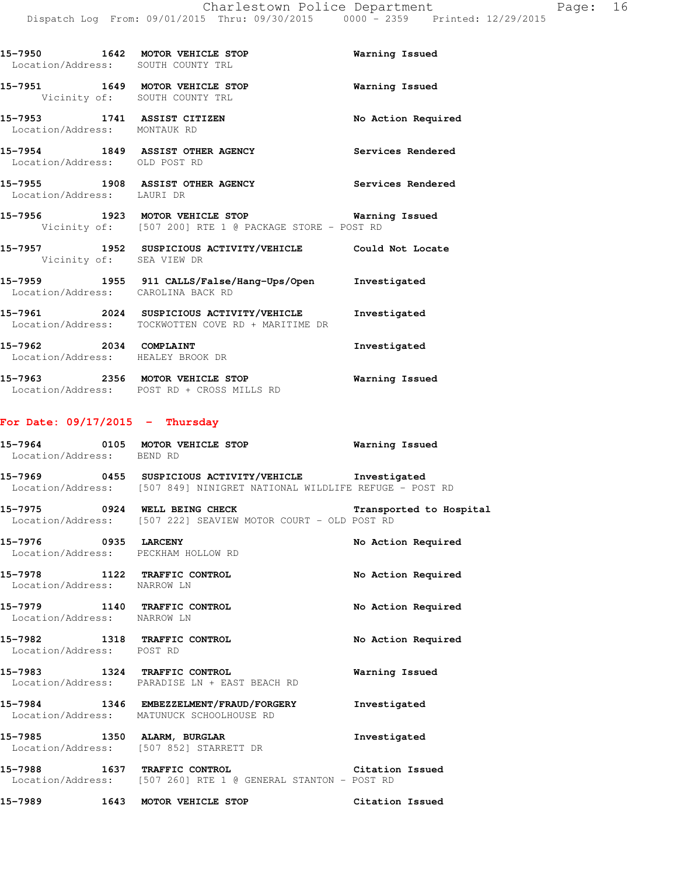| 15–7950<br>Location/Address:                    | 1642<br>MOTOR VEHICLE STOP<br>SOUTH COUNTY TRL              | Warning Issued     |
|-------------------------------------------------|-------------------------------------------------------------|--------------------|
| 15-7951                                         | 1649<br>MOTOR VEHICLE STOP<br>Vicinity of: SOUTH COUNTY TRL | Warning Issued     |
| 15–7953<br>1741<br>Location/Address: MONTAUK RD | ASSIST CITIZEN                                              | No Action Required |
| 15-7954<br>Location/Address: OLD POST RD        | 1849 ASSIST OTHER AGENCY                                    | Services Rendered  |
| 15–7955<br>Location/Address: LAURI DR           | 1908<br><b>ASSIST OTHER AGENCY</b>                          | Services Rendered  |

**15-7956 1923 MOTOR VEHICLE STOP Warning Issued**  Vicinity of: [507 200] RTE 1 @ PACKAGE STORE - POST RD

- **15-7957 1952 SUSPICIOUS ACTIVITY/VEHICLE Could Not Locate**  Vicinity of: SEA VIEW DR **15-7959 1955 911 CALLS/False/Hang-Ups/Open Investigated**  Location/Address: CAROLINA BACK RD **15-7961 2024 SUSPICIOUS ACTIVITY/VEHICLE Investigated**  Location/Address: TOCKWOTTEN COVE RD + MARITIME DR
- **15-7962 2034 COMPLAINT Investigated**  Location/Address: HEALEY BROOK DR
- **15-7963 2356 MOTOR VEHICLE STOP Warning Issued**  Location/Address: POST RD + CROSS MILLS RD

#### **For Date: 09/17/2015 - Thursday**

| Location/Address: BEND RD                                   | 15-7964 0105 MOTOR VEHICLE STOP 6 Warning Issued                                                                                 |                    |
|-------------------------------------------------------------|----------------------------------------------------------------------------------------------------------------------------------|--------------------|
|                                                             | 15-7969 0455 SUSPICIOUS ACTIVITY/VEHICLE Investigated<br>Location/Address: [507 849] NINIGRET NATIONAL WILDLIFE REFUGE - POST RD |                    |
|                                                             | 15-7975 0924 WELL BEING CHECK Transported to Hospital<br>Location/Address: [507 222] SEAVIEW MOTOR COURT - OLD POST RD           |                    |
| Location/Address: PECKHAM HOLLOW RD                         | 15-7976 0935 LARCENY                                                                                                             | No Action Required |
| 15-7978 1122 TRAFFIC CONTROL<br>Location/Address: NARROW LN |                                                                                                                                  | No Action Required |
| Location/Address: NARROW LN                                 | 15-7979 1140 TRAFFIC CONTROL                                                                                                     | No Action Required |
| Location/Address: POST RD                                   | 15-7982 1318 TRAFFIC CONTROL                                                                                                     | No Action Required |
|                                                             | 15-7983 1324 TRAFFIC CONTROL<br>Location/Address: PARADISE LN + EAST BEACH RD                                                    | Warning Issued     |
|                                                             | 15-7984 1346 EMBEZZELMENT/FRAUD/FORGERY<br>Location/Address: MATUNUCK SCHOOLHOUSE RD                                             | Investigated       |
|                                                             | 15-7985 1350 ALARM, BURGLAR<br>Location/Address: [507 852] STARRETT DR                                                           | Investigated       |
|                                                             | 15-7988 1637 TRAFFIC CONTROL 2000 Citation Issued<br>Location/Address: [507 260] RTE 1 @ GENERAL STANTON - POST RD               |                    |
|                                                             | 15-7989 1643 MOTOR VEHICLE STOP                                                                                                  | Citation Issued    |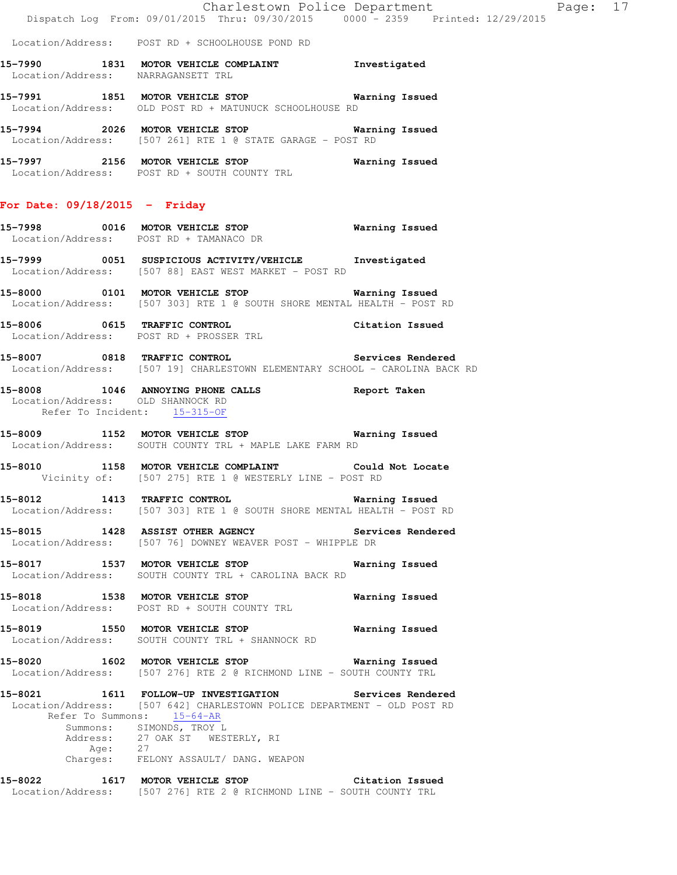Location/Address: POST RD + SCHOOLHOUSE POND RD

- **15-7990 1831 MOTOR VEHICLE COMPLAINT Investigated**  Location/Address: NARRAGANSETT TRL
- **15-7991 1851 MOTOR VEHICLE STOP Warning Issued**  Location/Address: OLD POST RD + MATUNUCK SCHOOLHOUSE RD
- **15-7994 2026 MOTOR VEHICLE STOP Warning Issued**  Location/Address: [507 261] RTE 1 @ STATE GARAGE - POST RD
- **15-7997 2156 MOTOR VEHICLE STOP Warning Issued**  Location/Address: POST RD + SOUTH COUNTY TRL

#### **For Date: 09/18/2015 - Friday**

- **15-7998 0016 MOTOR VEHICLE STOP Warning Issued**  Location/Address: POST RD + TAMANACO DR
- **15-7999 0051 SUSPICIOUS ACTIVITY/VEHICLE Investigated**  Location/Address: [507 88] EAST WEST MARKET - POST RD
- **15-8000 0101 MOTOR VEHICLE STOP Warning Issued**  Location/Address: [507 303] RTE 1 @ SOUTH SHORE MENTAL HEALTH - POST RD
- **15-8006 0615 TRAFFIC CONTROL Citation Issued**  Location/Address: POST RD + PROSSER TRL
- **15-8007 0818 TRAFFIC CONTROL Services Rendered**  Location/Address: [507 19] CHARLESTOWN ELEMENTARY SCHOOL - CAROLINA BACK RD
- **15-8008 1046 ANNOYING PHONE CALLS Report Taken**  Location/Address: OLD SHANNOCK RD Refer To Incident: 15-315-OF
- **15-8009 1152 MOTOR VEHICLE STOP Warning Issued**  Location/Address: SOUTH COUNTY TRL + MAPLE LAKE FARM RD
- **15-8010 1158 MOTOR VEHICLE COMPLAINT Could Not Locate**  Vicinity of: [507 275] RTE 1 @ WESTERLY LINE - POST RD
- **15-8012 1413 TRAFFIC CONTROL Warning Issued**  Location/Address: [507 303] RTE 1 @ SOUTH SHORE MENTAL HEALTH - POST RD
- **15-8015 1428 ASSIST OTHER AGENCY Services Rendered**  Location/Address: [507 76] DOWNEY WEAVER POST - WHIPPLE DR
- **15-8017 1537 MOTOR VEHICLE STOP Warning Issued**  Location/Address: SOUTH COUNTY TRL + CAROLINA BACK RD
- **15-8018 1538 MOTOR VEHICLE STOP Warning Issued**  Location/Address: POST RD + SOUTH COUNTY TRL
- **15-8019 1550 MOTOR VEHICLE STOP Warning Issued**  Location/Address: SOUTH COUNTY TRL + SHANNOCK RD
- **15-8020 1602 MOTOR VEHICLE STOP Warning Issued**  Location/Address: [507 276] RTE 2 @ RICHMOND LINE - SOUTH COUNTY TRL
- **15-8021 1611 FOLLOW-UP INVESTIGATION Services Rendered**  Location/Address: [507 642] CHARLESTOWN POLICE DEPARTMENT - OLD POST RD Refer To Summons: 15-64-AR Summons: SIMONDS, TROY L Address: 27 OAK ST WESTERLY, RI Age: 27 Charges: FELONY ASSAULT/ DANG. WEAPON
- **15-8022 1617 MOTOR VEHICLE STOP Citation Issued**  Location/Address: [507 276] RTE 2 @ RICHMOND LINE - SOUTH COUNTY TRL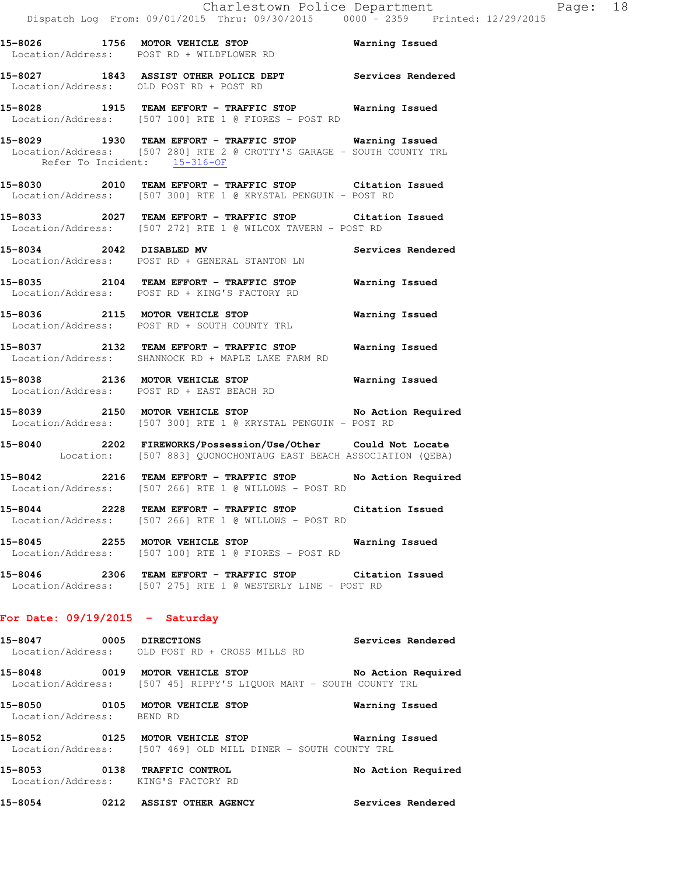**15-8026 1756 MOTOR VEHICLE STOP Warning Issued**  Location/Address: POST RD + WILDFLOWER RD

**15-8027 1843 ASSIST OTHER POLICE DEPT Services Rendered**  Location/Address: OLD POST RD + POST RD

**15-8028 1915 TEAM EFFORT - TRAFFIC STOP Warning Issued**  Location/Address: [507 100] RTE 1 @ FIORES - POST RD

**15-8029 1930 TEAM EFFORT - TRAFFIC STOP Warning Issued**  Location/Address: [507 280] RTE 2 @ CROTTY'S GARAGE - SOUTH COUNTY TRL Refer To Incident: 15-316-OF

**15-8030 2010 TEAM EFFORT - TRAFFIC STOP Citation Issued**  Location/Address: [507 300] RTE 1 @ KRYSTAL PENGUIN - POST RD

**15-8033 2027 TEAM EFFORT - TRAFFIC STOP Citation Issued**  Location/Address: [507 272] RTE 1 @ WILCOX TAVERN - POST RD

**15-8034 2042 DISABLED MV Services Rendered**  Location/Address: POST RD + GENERAL STANTON LN

**15-8035 2104 TEAM EFFORT - TRAFFIC STOP Warning Issued**  Location/Address: POST RD + KING'S FACTORY RD

**15-8036 2115 MOTOR VEHICLE STOP Warning Issued**  Location/Address: POST RD + SOUTH COUNTY TRL

**15-8037 2132 TEAM EFFORT - TRAFFIC STOP Warning Issued**  Location/Address: SHANNOCK RD + MAPLE LAKE FARM RD

**15-8038 2136 MOTOR VEHICLE STOP Warning Issued**  Location/Address: POST RD + EAST BEACH RD

**15-8039 2150 MOTOR VEHICLE STOP No Action Required**  Location/Address: [507 300] RTE 1 @ KRYSTAL PENGUIN - POST RD

**15-8040 2202 FIREWORKS/Possession/Use/Other Could Not Locate**  Location: [507 883] QUONOCHONTAUG EAST BEACH ASSOCIATION (QEBA)

**15-8042 2216 TEAM EFFORT - TRAFFIC STOP No Action Required**  Location/Address: [507 266] RTE 1 @ WILLOWS - POST RD

**15-8044 2228 TEAM EFFORT - TRAFFIC STOP Citation Issued**  Location/Address: [507 266] RTE 1 @ WILLOWS - POST RD

**15-8045 2255 MOTOR VEHICLE STOP Warning Issued**  Location/Address: [507 100] RTE 1 @ FIORES - POST RD

**15-8046 2306 TEAM EFFORT - TRAFFIC STOP Citation Issued**  Location/Address: [507 275] RTE 1 @ WESTERLY LINE - POST RD

#### **For Date: 09/19/2015 - Saturday**

**15-8047 0005 DIRECTIONS Services Rendered**  Location/Address: OLD POST RD + CROSS MILLS RD **15-8048 0019 MOTOR VEHICLE STOP No Action Required** 

Location/Address: [507 45] RIPPY'S LIQUOR MART - SOUTH COUNTY TRL

**15-8050 0105 MOTOR VEHICLE STOP Warning Issued** Location/Address: BEND RD Location/Address:

**15-8052 0125 MOTOR VEHICLE STOP Warning Issued**  Location/Address: [507 469] OLD MILL DINER - SOUTH COUNTY TRL

**15-8053 0138 TRAFFIC CONTROL No Action Required**  Location/Address: KING'S FACTORY RD

**15-8054 0212 ASSIST OTHER AGENCY Services Rendered**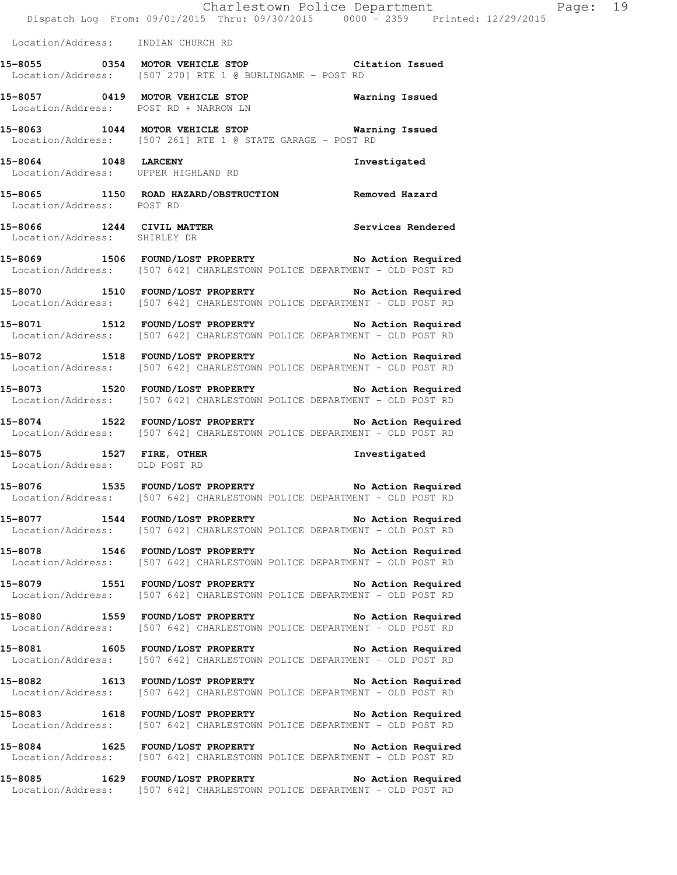|                              | Charlestown Police Department<br>Dispatch Log From: 09/01/2015 Thru: 09/30/2015 0000 - 2359 Printed: 12/29/2015                |              |
|------------------------------|--------------------------------------------------------------------------------------------------------------------------------|--------------|
|                              | Location/Address: INDIAN CHURCH RD                                                                                             |              |
|                              | 15-8055 0354 MOTOR VEHICLE STOP Citation Issued<br>Location/Address: [507 270] RTE 1 @ BURLINGAME - POST RD                    |              |
|                              | 15-8057 0419 MOTOR VEHICLE STOP Warning Issued<br>Location/Address: POST RD + NARROW LN                                        |              |
|                              | 15-8063 1044 MOTOR VEHICLE STOP 6 Warning Issued<br>Location/Address: [507 261] RTE 1 @ STATE GARAGE - POST RD                 |              |
|                              | 15-8064 1048 LARCENY<br>Location/Address: UPPER HIGHLAND RD                                                                    | Investigated |
| Location/Address: POST RD    | 15-8065 1150 ROAD HAZARD/OBSTRUCTION Removed Hazard                                                                            |              |
| Location/Address: SHIRLEY DR | 15-8066 1244 CIVIL MATTER Services Rendered                                                                                    |              |
|                              | 15-8069 1506 FOUND/LOST PROPERTY No Action Required<br>Location/Address: [507 642] CHARLESTOWN POLICE DEPARTMENT - OLD POST RD |              |
|                              | 15-8070 1510 FOUND/LOST PROPERTY No Action Required<br>Location/Address: [507 642] CHARLESTOWN POLICE DEPARTMENT - OLD POST RD |              |
|                              | 15-8071 1512 FOUND/LOST PROPERTY No Action Required<br>Location/Address: [507 642] CHARLESTOWN POLICE DEPARTMENT - OLD POST RD |              |
|                              | 15-8072 1518 FOUND/LOST PROPERTY No Action Required<br>Location/Address: [507 642] CHARLESTOWN POLICE DEPARTMENT - OLD POST RD |              |
|                              | 15-8073 1520 FOUND/LOST PROPERTY No Action Required<br>Location/Address: [507 642] CHARLESTOWN POLICE DEPARTMENT - OLD POST RD |              |
|                              | 15-8074 1522 FOUND/LOST PROPERTY No Action Required<br>Location/Address: [507 642] CHARLESTOWN POLICE DEPARTMENT - OLD POST RD |              |
|                              | 15-8075 1527 FIRE, OTHER<br>Location/Address: OLD POST RD                                                                      | Investigated |
|                              | 15-8076 1535 FOUND/LOST PROPERTY No Action Required<br>Location/Address: [507 642] CHARLESTOWN POLICE DEPARTMENT - OLD POST RD |              |
|                              | 15-8077 1544 FOUND/LOST PROPERTY No Action Required<br>Location/Address: [507 642] CHARLESTOWN POLICE DEPARTMENT - OLD POST RD |              |
|                              | 15-8078 1546 FOUND/LOST PROPERTY No Action Required<br>Location/Address: [507 642] CHARLESTOWN POLICE DEPARTMENT - OLD POST RD |              |
|                              | 15-8079 1551 FOUND/LOST PROPERTY No Action Required<br>Location/Address: [507 642] CHARLESTOWN POLICE DEPARTMENT - OLD POST RD |              |
|                              | 15-8080 1559 FOUND/LOST PROPERTY No Action Required<br>Location/Address: [507 642] CHARLESTOWN POLICE DEPARTMENT - OLD POST RD |              |
|                              | 15-8081 1605 FOUND/LOST PROPERTY No Action Required<br>Location/Address: [507 642] CHARLESTOWN POLICE DEPARTMENT - OLD POST RD |              |
|                              | 15-8082 1613 FOUND/LOST PROPERTY No Action Required<br>Location/Address: [507 642] CHARLESTOWN POLICE DEPARTMENT - OLD POST RD |              |
|                              | 15-8083 1618 FOUND/LOST PROPERTY No Action Required<br>Location/Address: [507 642] CHARLESTOWN POLICE DEPARTMENT - OLD POST RD |              |
|                              | 15-8084 1625 FOUND/LOST PROPERTY No Action Required<br>Location/Address: [507 642] CHARLESTOWN POLICE DEPARTMENT - OLD POST RD |              |
|                              | 15-8085 1629 FOUND/LOST PROPERTY No Action Required                                                                            |              |

Location/Address: [507 642] CHARLESTOWN POLICE DEPARTMENT - OLD POST RD

Page: 19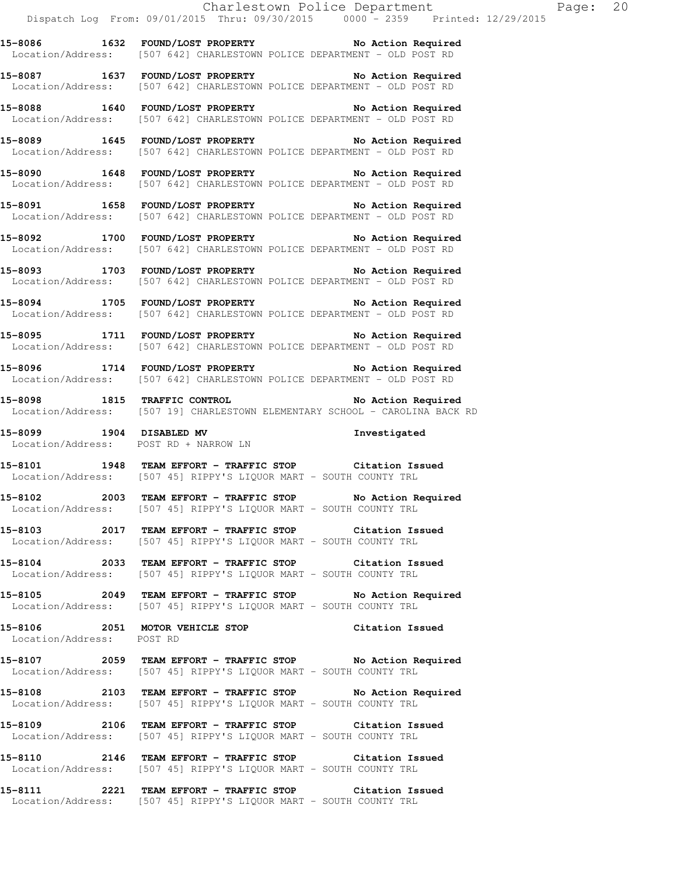|                           | Charlestown Police Department<br>Dispatch Log From: 09/01/2015 Thru: 09/30/2015 0000 - 2359 Printed: 12/29/2015                         |
|---------------------------|-----------------------------------------------------------------------------------------------------------------------------------------|
|                           | 15-8086 1632 FOUND/LOST PROPERTY No Action Required<br>Location/Address: [507 642] CHARLESTOWN POLICE DEPARTMENT - OLD POST RD          |
|                           | 15-8087 1637 FOUND/LOST PROPERTY No Action Required<br>Location/Address: [507 642] CHARLESTOWN POLICE DEPARTMENT - OLD POST RD          |
|                           | 15-8088 1640 FOUND/LOST PROPERTY No Action Required<br>Location/Address: [507 642] CHARLESTOWN POLICE DEPARTMENT - OLD POST RD          |
|                           | 15-8089 1645 FOUND/LOST PROPERTY No Action Required<br>Location/Address: [507 642] CHARLESTOWN POLICE DEPARTMENT - OLD POST RD          |
|                           | 15-8090 1648 FOUND/LOST PROPERTY No Action Required<br>Location/Address: [507 642] CHARLESTOWN POLICE DEPARTMENT - OLD POST RD          |
|                           | 15-8091 1658 FOUND/LOST PROPERTY No Action Required<br>Location/Address: [507 642] CHARLESTOWN POLICE DEPARTMENT - OLD POST RD          |
|                           | 15-8092 1700 FOUND/LOST PROPERTY No Action Required<br>Location/Address: [507 642] CHARLESTOWN POLICE DEPARTMENT - OLD POST RD          |
|                           | 15-8093 1703 FOUND/LOST PROPERTY No Action Required<br>Location/Address: [507 642] CHARLESTOWN POLICE DEPARTMENT - OLD POST RD          |
|                           | 15-8094 1705 FOUND/LOST PROPERTY No Action Required<br>Location/Address: [507 642] CHARLESTOWN POLICE DEPARTMENT - OLD POST RD          |
|                           | 15-8095 1711 FOUND/LOST PROPERTY No Action Required<br>Location/Address: [507 642] CHARLESTOWN POLICE DEPARTMENT - OLD POST RD          |
|                           | 15-8096 1714 FOUND/LOST PROPERTY No Action Required<br>Location/Address: [507 642] CHARLESTOWN POLICE DEPARTMENT - OLD POST RD          |
|                           | 15-8098 1815 TRAFFIC CONTROL No Action Required<br>Location/Address: [507 19] CHARLESTOWN ELEMENTARY SCHOOL - CAROLINA BACK RD          |
|                           | -<br>15-8099 1904 DISABLED MV 1000 1nvestigated<br>Location/Address: POST RD + NARROW LN                                                |
|                           | 15-8101 1948 TEAM EFFORT - TRAFFIC STOP Citation Issued<br>Location/Address: [507 45] RIPPY'S LIQUOR MART - SOUTH COUNTY TRL            |
|                           | 15-8102 2003 TEAM EFFORT - TRAFFIC STOP No Action Required<br>Location/Address: [507 45] RIPPY'S LIQUOR MART - SOUTH COUNTY TRL         |
|                           | 15-8103 2017 TEAM EFFORT - TRAFFIC STOP Citation Issued<br>Location/Address: [507 45] RIPPY'S LIQUOR MART - SOUTH COUNTY TRL            |
|                           | 15-8104 2033 TEAM EFFORT - TRAFFIC STOP Citation Issued<br>Location/Address: [507 45] RIPPY'S LIQUOR MART - SOUTH COUNTY TRL            |
|                           | 15-8105 2049 TEAM EFFORT - TRAFFIC STOP No Action Required<br>Location/Address: [507 45] RIPPY'S LIQUOR MART - SOUTH COUNTY TRL         |
| Location/Address: POST RD | 15-8106 2051 MOTOR VEHICLE STOP Citation Issued                                                                                         |
|                           | 15-8107 2059 TEAM EFFORT - TRAFFIC STOP No Action Required<br>Location/Address: [507 45] RIPPY'S LIQUOR MART - SOUTH COUNTY TRL         |
|                           | 15-8108 			 2103 TEAM EFFORT - TRAFFIC STOP 			 No Action Required<br>Location/Address: [507 45] RIPPY'S LIQUOR MART - SOUTH COUNTY TRL |
|                           | 15-8109 2106 TEAM EFFORT - TRAFFIC STOP Citation Issued<br>Location/Address: [507 45] RIPPY'S LIQUOR MART - SOUTH COUNTY TRL            |
|                           | 15-8110 2146 TEAM EFFORT - TRAFFIC STOP Citation Issued<br>Location/Address: [507 45] RIPPY'S LIQUOR MART - SOUTH COUNTY TRL            |

**15-8111 2221 TEAM EFFORT - TRAFFIC STOP Citation Issued**  Location/Address: [507 45] RIPPY'S LIQUOR MART - SOUTH COUNTY TRL

Page:  $20$ <br>15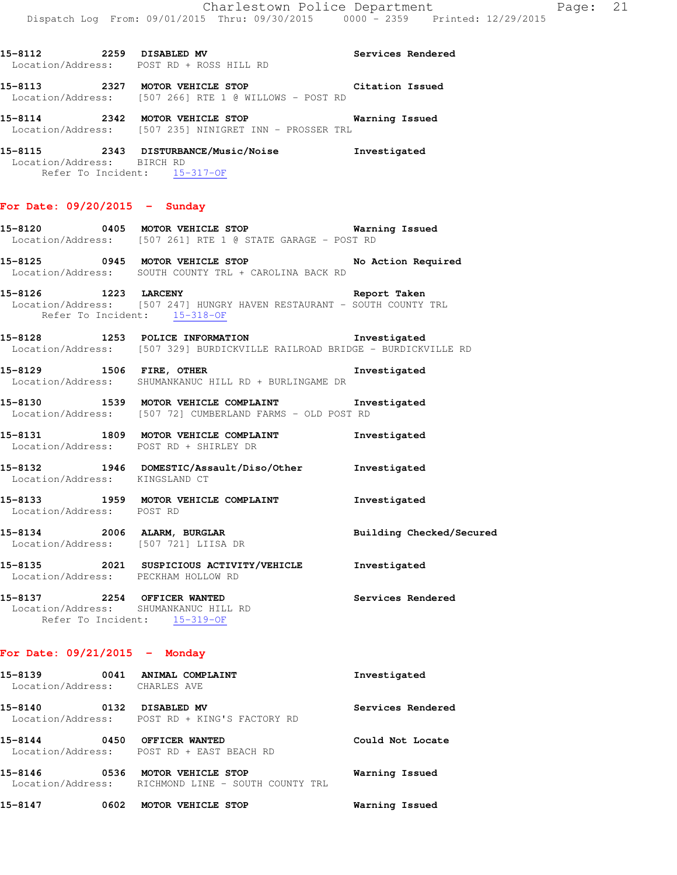**15-8114 2342 MOTOR VEHICLE STOP Warning Issued**  Location/Address: [507 235] NINIGRET INN - PROSSER TRL

**15-8115 2343 DISTURBANCE/Music/Noise Investigated**  Location/Address: BIRCH RD Refer To Incident: 15-317-OF

#### **For Date: 09/20/2015 - Sunday**

- **15-8120 0405 MOTOR VEHICLE STOP Warning Issued**  Location/Address: [507 261] RTE 1 @ STATE GARAGE - POST RD
- **15-8125 0945 MOTOR VEHICLE STOP No Action Required**  Location/Address: SOUTH COUNTY TRL + CAROLINA BACK RD
- **15-8126 1223 LARCENY Report Taken**  Location/Address: [507 247] HUNGRY HAVEN RESTAURANT - SOUTH COUNTY TRL Refer To Incident: 15-318-OF
- **15-8128 1253 POLICE INFORMATION Investigated**  Location/Address: [507 329] BURDICKVILLE RAILROAD BRIDGE - BURDICKVILLE RD
- **15-8129 1506 FIRE, OTHER Investigated**  Location/Address: SHUMANKANUC HILL RD + BURLINGAME DR
- **15-8130 1539 MOTOR VEHICLE COMPLAINT Investigated**  Location/Address: [507 72] CUMBERLAND FARMS - OLD POST RD
- **15-8131 1809 MOTOR VEHICLE COMPLAINT Investigated**  Location/Address: POST RD + SHIRLEY DR
- **15-8132 1946 DOMESTIC/Assault/Diso/Other Investigated**  Location/Address: KINGSLAND CT
- **15-8133 1959 MOTOR VEHICLE COMPLAINT Investigated**  Location/Address: POST RD
- **15-8134 2006 ALARM, BURGLAR Building Checked/Secured**  Location/Address: [507 721] LIISA DR
- **15-8135 2021 SUSPICIOUS ACTIVITY/VEHICLE Investigated**  Location/Address: PECKHAM HOLLOW RD
- **15-8137 2254 OFFICER WANTED Services Rendered**  Location/Address: SHUMANKANUC HILL RD Refer To Incident: 15-319-OF

#### **For Date: 09/21/2015 - Monday**

| 15-8139<br>0041<br>Location/Address: | ANIMAL COMPLAINT<br>CHARLES AVE                        | Investigated      |
|--------------------------------------|--------------------------------------------------------|-------------------|
| 15-8140<br>0132<br>Location/Address: | DISABLED MV<br>POST RD + KING'S FACTORY RD             | Services Rendered |
| 15-8144<br>0450<br>Location/Address: | OFFICER WANTED<br>POST RD + EAST BEACH RD              | Could Not Locate  |
| 15-8146<br>0536<br>Location/Address: | MOTOR VEHICLE STOP<br>RICHMOND LINE - SOUTH COUNTY TRL | Warning Issued    |

**15-8147 0602 MOTOR VEHICLE STOP Warning Issued**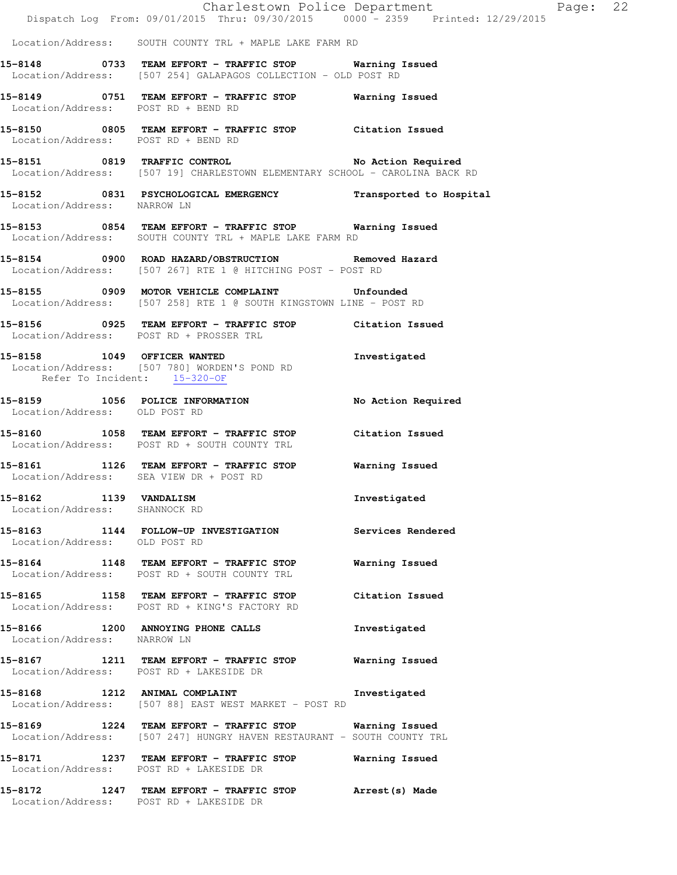|                                                            | Dispatch Log From: 09/01/2015 Thru: 09/30/2015 0000 - 2359 Printed: 12/29/2015                                                   | Charlestown Police Department Page: 22 |  |
|------------------------------------------------------------|----------------------------------------------------------------------------------------------------------------------------------|----------------------------------------|--|
|                                                            | Location/Address: SOUTH COUNTY TRL + MAPLE LAKE FARM RD                                                                          |                                        |  |
|                                                            | 15-8148 0733 TEAM EFFORT - TRAFFIC STOP Warning Issued<br>Location/Address: [507 254] GALAPAGOS COLLECTION - OLD POST RD         |                                        |  |
| Location/Address: POST RD + BEND RD                        | 15-8149 0751 TEAM EFFORT - TRAFFIC STOP Warning Issued                                                                           |                                        |  |
| Location/Address: POST RD + BEND RD                        | 15-8150 0805 TEAM EFFORT - TRAFFIC STOP Citation Issued                                                                          |                                        |  |
|                                                            | 15-8151 0819 TRAFFIC CONTROL No Action Required<br>Location/Address: [507 19] CHARLESTOWN ELEMENTARY SCHOOL - CAROLINA BACK RD   |                                        |  |
| Location/Address: NARROW LN                                | 15-8152 0831 PSYCHOLOGICAL EMERGENCY Transported to Hospital                                                                     |                                        |  |
|                                                            | 15-8153 0854 TEAM EFFORT - TRAFFIC STOP Warning Issued<br>Location/Address: SOUTH COUNTY TRL + MAPLE LAKE FARM RD                |                                        |  |
|                                                            | 15-8154 0900 ROAD HAZARD/OBSTRUCTION Removed Hazard<br>Location/Address: [507 267] RTE 1 @ HITCHING POST - POST RD               |                                        |  |
|                                                            | 15-8155 0909 MOTOR VEHICLE COMPLAINT Unfounded<br>Location/Address: [507 258] RTE 1 @ SOUTH KINGSTOWN LINE - POST RD             |                                        |  |
|                                                            | 15-8156 0925 TEAM EFFORT - TRAFFIC STOP Citation Issued<br>Location/Address: POST RD + PROSSER TRL                               |                                        |  |
| Refer To Incident: 15-320-OF                               | 15-8158 1049 OFFICER WANTED<br>Location/Address: [507 780] WORDEN'S POND RD                                                      | Investigated                           |  |
| Location/Address: OLD POST RD                              | 15-8159 1056 POLICE INFORMATION                                                                                                  | No Action Required                     |  |
|                                                            | 15-8160 1058 TEAM EFFORT - TRAFFIC STOP Citation Issued<br>Location/Address: POST RD + SOUTH COUNTY TRL                          |                                        |  |
|                                                            | 15-8161 1126 TEAM EFFORT - TRAFFIC STOP Warning Issued<br>Location/Address: SEA VIEW DR + POST RD                                |                                        |  |
| 15-8162<br>1139 VANDALISM<br>Location/Address: SHANNOCK RD |                                                                                                                                  | Investigated                           |  |
| Location/Address: OLD POST RD                              | 15-8163 1144 FOLLOW-UP INVESTIGATION Services Rendered                                                                           |                                        |  |
|                                                            | 15-8164 1148 TEAM EFFORT - TRAFFIC STOP<br>Location/Address: POST RD + SOUTH COUNTY TRL                                          | Warning Issued                         |  |
|                                                            | 15-8165 1158 TEAM EFFORT - TRAFFIC STOP Citation Issued<br>Location/Address: POST RD + KING'S FACTORY RD                         |                                        |  |
| Location/Address: NARROW LN                                | 15-8166 1200 ANNOYING PHONE CALLS                                                                                                | Investigated                           |  |
|                                                            | Location/Address: POST RD + LAKESIDE DR                                                                                          |                                        |  |
|                                                            | 15-8168 1212 ANIMAL COMPLAINT 100 Investigated<br>Location/Address: [507 88] EAST WEST MARKET - POST RD                          |                                        |  |
|                                                            | 15-8169 1224 TEAM EFFORT - TRAFFIC STOP Warning Issued<br>Location/Address: [507 247] HUNGRY HAVEN RESTAURANT - SOUTH COUNTY TRL |                                        |  |
|                                                            | 15-8171 1237 TEAM EFFORT - TRAFFIC STOP Warning Issued<br>Location/Address: POST RD + LAKESIDE DR                                |                                        |  |
|                                                            | 15-8172 1247 TEAM EFFORT - TRAFFIC STOP Arrest (s) Made<br>Location/Address: POST RD + LAKESIDE DR                               |                                        |  |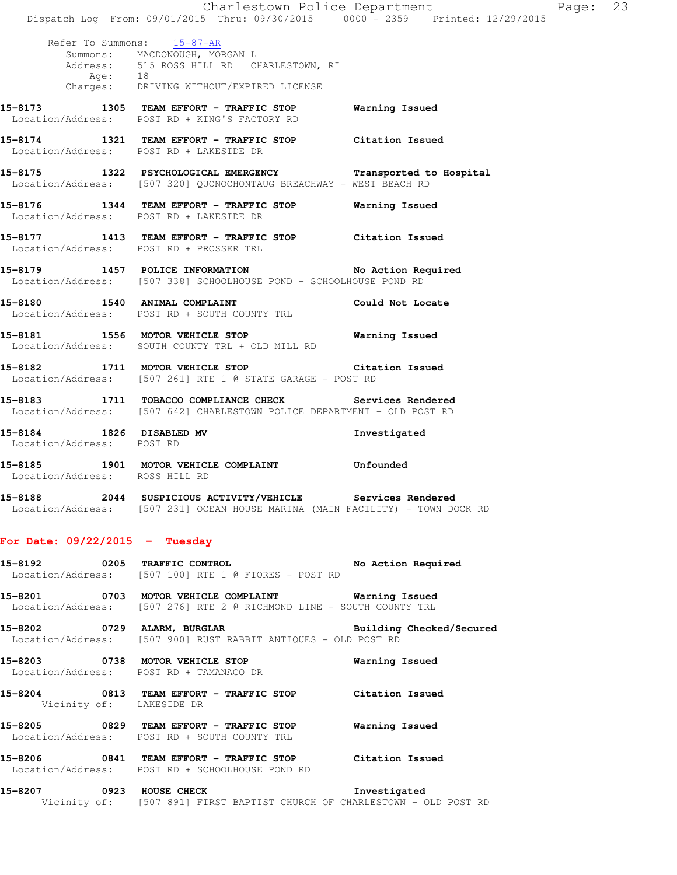|                                                       | Dispatch Log From: 09/01/2015 Thru: 09/30/2015 0000 - 2359 Printed: 12/29/2015                                                                       | Charlestown Police Department | Page: 23 |  |
|-------------------------------------------------------|------------------------------------------------------------------------------------------------------------------------------------------------------|-------------------------------|----------|--|
| Age: $18$                                             | Refer To Summons: 15-87-AR<br>Summons: MACDONOUGH, MORGAN L<br>Address: 515 ROSS HILL RD CHARLESTOWN, RI<br>Charges: DRIVING WITHOUT/EXPIRED LICENSE |                               |          |  |
|                                                       | 15-8173 1305 TEAM EFFORT - TRAFFIC STOP<br>Location/Address: POST RD + KING'S FACTORY RD                                                             | Warning Issued                |          |  |
|                                                       | 15-8174 1321 TEAM EFFORT - TRAFFIC STOP Citation Issued<br>Location/Address: POST RD + LAKESIDE DR                                                   |                               |          |  |
|                                                       | 15-8175 1322 PSYCHOLOGICAL EMERGENCY Transported to Hospital<br>Location/Address: [507 320] QUONOCHONTAUG BREACHWAY - WEST BEACH RD                  |                               |          |  |
|                                                       | 15-8176 1344 TEAM EFFORT - TRAFFIC STOP Warning Issued<br>Location/Address: POST RD + LAKESIDE DR                                                    |                               |          |  |
|                                                       | 15-8177 1413 TEAM EFFORT - TRAFFIC STOP Citation Issued<br>Location/Address: POST RD + PROSSER TRL                                                   |                               |          |  |
|                                                       | 15-8179 1457 POLICE INFORMATION No Action Required<br>Location/Address: [507 338] SCHOOLHOUSE POND - SCHOOLHOUSE POND RD                             |                               |          |  |
|                                                       | 15-8180 1540 ANIMAL COMPLAINT 15-8180 Could Not Locate<br>Location/Address: POST RD + SOUTH COUNTY TRL                                               |                               |          |  |
|                                                       | 15-8181 1556 MOTOR VEHICLE STOP 6 Warning Issued<br>Location/Address: SOUTH COUNTY TRL + OLD MILL RD                                                 |                               |          |  |
|                                                       | 15-8182 1711 MOTOR VEHICLE STOP Citation Issued<br>Location/Address: [507 261] RTE 1 @ STATE GARAGE - POST RD                                        |                               |          |  |
|                                                       | 15-8183 1711 TOBACCO COMPLIANCE CHECK Services Rendered<br>Location/Address: [507 642] CHARLESTOWN POLICE DEPARTMENT - OLD POST RD                   |                               |          |  |
| 15-8184 1826 DISABLED MV<br>Location/Address: POST RD |                                                                                                                                                      | Investigated                  |          |  |
| Location/Address: ROSS HILL RD                        | 15-8185 1901 MOTOR VEHICLE COMPLAINT Unfounded                                                                                                       |                               |          |  |
|                                                       | 15-8188 2044 SUSPICIOUS ACTIVITY/VEHICLE Services Rendered<br>Location/Address: [507 231] OCEAN HOUSE MARINA (MAIN FACILITY) - TOWN DOCK RD          |                               |          |  |
| For Date: $09/22/2015$ - Tuesday                      |                                                                                                                                                      |                               |          |  |
|                                                       | 15-8192 0205 TRAFFIC CONTROL No Action Required<br>Location/Address: [507 100] RTE 1 @ FIORES - POST RD                                              |                               |          |  |
|                                                       | 15-8201 0703 MOTOR VEHICLE COMPLAINT Warning Issued<br>Location/Address: [507 276] RTE 2 @ RICHMOND LINE - SOUTH COUNTY TRL                          |                               |          |  |
|                                                       | 15-8202 0729 ALARM, BURGLAR Building Checked/Secured<br>Location/Address: [507 900] RUST RABBIT ANTIQUES - OLD POST RD                               |                               |          |  |
|                                                       | 15-8203 0738 MOTOR VEHICLE STOP<br>Location/Address: POST RD + TAMANACO DR                                                                           | Warning Issued                |          |  |
| Vicinity of: LAKESIDE DR                              | 15-8204 0813 TEAM EFFORT - TRAFFIC STOP Citation Issued                                                                                              |                               |          |  |
|                                                       | 15-8205 0829 TEAM EFFORT - TRAFFIC STOP Warning Issued<br>Location/Address: POST RD + SOUTH COUNTY TRL                                               |                               |          |  |
|                                                       | 15-8206 0841 TEAM EFFORT - TRAFFIC STOP Citation Issued<br>Location/Address: POST RD + SCHOOLHOUSE POND RD                                           |                               |          |  |
|                                                       | 15-8207 0923 HOUSE CHECK 1000 Investigated<br>Vicinity of: [507 891] FIRST BAPTIST CHURCH OF CHARLESTOWN - OLD POST RD                               |                               |          |  |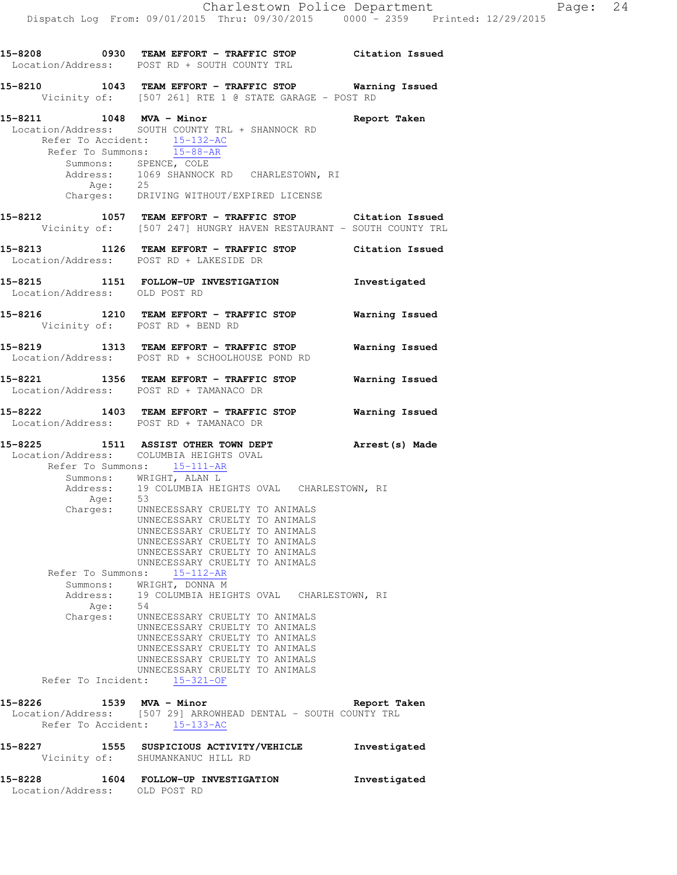**15-8208 0930 TEAM EFFORT - TRAFFIC STOP Citation Issued**  Location/Address: POST RD + SOUTH COUNTY TRL **15-8210 1043 TEAM EFFORT - TRAFFIC STOP Warning Issued**  Vicinity of: [507 261] RTE 1 @ STATE GARAGE - POST RD **15-8211 1048 MVA - Minor Report Taken**  Location/Address: SOUTH COUNTY TRL + SHANNOCK RD Refer To Accident:  $\frac{15-132-AC}{15-00-15}$  Refer To Summons: 15-88-AR Summons: SPENCE, COLE<br>Address: 1069 SHANNOCK 1069 SHANNOCK RD CHARLESTOWN, RI<br>25 Age: Charges: DRIVING WITHOUT/EXPIRED LICENSE **15-8212 1057 TEAM EFFORT - TRAFFIC STOP Citation Issued**  Vicinity of: [507 247] HUNGRY HAVEN RESTAURANT - SOUTH COUNTY TRL **15-8213 1126 TEAM EFFORT - TRAFFIC STOP Citation Issued**  Location/Address: POST RD + LAKESIDE DR **15-8215 1151 FOLLOW-UP INVESTIGATION Investigated**  Location/Address: OLD POST RD **15-8216 1210 TEAM EFFORT - TRAFFIC STOP Warning Issued**  Vicinity of: POST RD + BEND RD **15-8219 1313 TEAM EFFORT - TRAFFIC STOP Warning Issued**  Location/Address: POST RD + SCHOOLHOUSE POND RD **15-8221 1356 TEAM EFFORT - TRAFFIC STOP Warning Issued**  Location/Address: POST RD + TAMANACO DR **15-8222 1403 TEAM EFFORT - TRAFFIC STOP Warning Issued**  Location/Address: POST RD + TAMANACO DR **15-8225 1511 ASSIST OTHER TOWN DEPT Arrest(s) Made**  Location/Address: COLUMBIA HEIGHTS OVAL Refer To Summons: 15-111-AR Summons: WRIGHT, ALAN L<br>Address: 19 COLUMBIA HET 19 COLUMBIA HEIGHTS OVAL CHARLESTOWN, RI Age: 53 Charges: UNNECESSARY CRUELTY TO ANIMALS UNNECESSARY CRUELTY TO ANIMALS UNNECESSARY CRUELTY TO ANIMALS UNNECESSARY CRUELTY TO ANIMALS UNNECESSARY CRUELTY TO ANIMALS UNNECESSARY CRUELTY TO ANIMALS Refer To Summons: 15-112-AR Summons: WRIGHT, DONNA M<br>Address: 19 COLUMBIA HEIG 19 COLUMBIA HEIGHTS OVAL CHARLESTOWN, RI Age: 54 Charges: UNNECESSARY CRUELTY TO ANIMALS UNNECESSARY CRUELTY TO ANIMALS UNNECESSARY CRUELTY TO ANIMALS UNNECESSARY CRUELTY TO ANIMALS UNNECESSARY CRUELTY TO ANIMALS UNNECESSARY CRUELTY TO ANIMALS Refer To Incident: 15-321-OF **15-8226 1539 MVA - Minor Report Taken**  Location/Address: [507 29] ARROWHEAD DENTAL - SOUTH COUNTY TRL Refer To Accident: 15-133-AC **15-8227 1555 SUSPICIOUS ACTIVITY/VEHICLE Investigated**  Vicinity of: SHUMANKANUC HILL RD **15-8228 1604 FOLLOW-UP INVESTIGATION Investigated**  Location/Address: OLD POST RD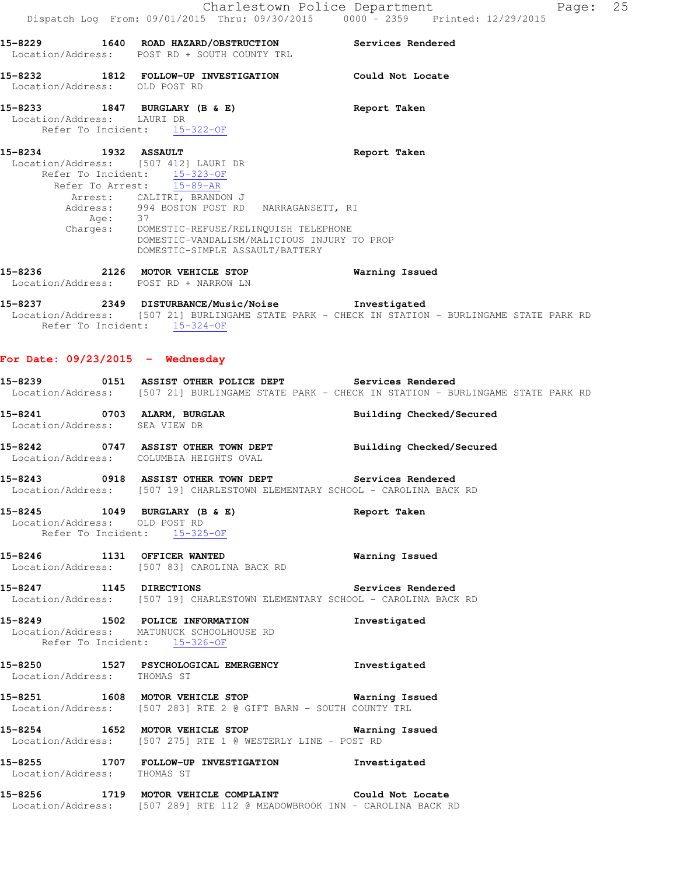|                                    | 15-8229 1640 ROAD HAZARD/OBSTRUCTION<br>Location/Address: POST RD + SOUTH COUNTY TRL                                                                                                                                                                                                                                | Services Rendered                                                                              |
|------------------------------------|---------------------------------------------------------------------------------------------------------------------------------------------------------------------------------------------------------------------------------------------------------------------------------------------------------------------|------------------------------------------------------------------------------------------------|
| Location/Address: OLD POST RD      | 15-8232 1812 FOLLOW-UP INVESTIGATION Could Not Locate                                                                                                                                                                                                                                                               |                                                                                                |
|                                    | 15-8233 1847 BURGLARY (B & E)<br>Location/Address: LAURI DR<br>Refer To Incident: 15-322-OF                                                                                                                                                                                                                         | Report Taken                                                                                   |
| 15-8234 1932 ASSAULT               | Location/Address: [507 412] LAURI DR<br>Refer To Incident: $\frac{15-323-OF}{15-89-AR}$<br>Arrest: CALITRI, BRANDON J<br>Address: 994 BOSTON POST RD NARRAGANSETT, RI<br>Age: 37<br>Charges: DOMESTIC-REFUSE/RELINQUISH TELEPHONE<br>DOMESTIC-VANDALISM/MALICIOUS INJURY TO PROP<br>DOMESTIC-SIMPLE ASSAULT/BATTERY | Report Taken                                                                                   |
|                                    | 15-8236 2126 MOTOR VEHICLE STOP<br>Location/Address: POST RD + NARROW LN                                                                                                                                                                                                                                            | Warning Issued                                                                                 |
|                                    | 15-8237 2349 DISTURBANCE/Music/Noise Investigated<br>Refer To Incident: 15-324-OF                                                                                                                                                                                                                                   | Location/Address: [507 21] BURLINGAME STATE PARK - CHECK IN STATION - BURLINGAME STATE PARK RD |
| For Date: $09/23/2015$ - Wednesday |                                                                                                                                                                                                                                                                                                                     |                                                                                                |
|                                    | 15-8239 0151 ASSIST OTHER POLICE DEPT Services Rendered                                                                                                                                                                                                                                                             | Location/Address: [507 21] BURLINGAME STATE PARK - CHECK IN STATION - BURLINGAME STATE PARK RD |
| Location/Address: SEA VIEW DR      | 15-8241 0703 ALARM, BURGLAR                                                                                                                                                                                                                                                                                         | Building Checked/Secured                                                                       |
|                                    | 15-8242 0747 ASSIST OTHER TOWN DEPT Building Checked/Secured<br>Location/Address: COLUMBIA HEIGHTS OVAL                                                                                                                                                                                                             |                                                                                                |
|                                    | 15-8243 0918 ASSIST OTHER TOWN DEPT Services Rendered<br>Location/Address: [507 19] CHARLESTOWN ELEMENTARY SCHOOL - CAROLINA BACK RD                                                                                                                                                                                |                                                                                                |
|                                    | 15-8245 1049 BURGLARY (B & E)<br>Location/Address: OLD POST RD<br>Refer To Incident: 15-325-OF                                                                                                                                                                                                                      | Report Taken                                                                                   |
|                                    | 15-8246 1131 OFFICER WANTED<br>Location/Address: [507 83] CAROLINA BACK RD                                                                                                                                                                                                                                          | Warning Issued                                                                                 |
|                                    | 15-8247 1145 DIRECTIONS<br>Location/Address: [507 19] CHARLESTOWN ELEMENTARY SCHOOL - CAROLINA BACK RD                                                                                                                                                                                                              | Services Rendered                                                                              |
|                                    | 15-8249 1502 POLICE INFORMATION<br>Location/Address: MATUNUCK SCHOOLHOUSE RD<br>Refer To Incident: 15-326-OF                                                                                                                                                                                                        | Investigated                                                                                   |
|                                    | 15-8250 1527 PSYCHOLOGICAL EMERGENCY Investigated<br>Location/Address: THOMAS ST                                                                                                                                                                                                                                    |                                                                                                |
|                                    | 15-8251 1608 MOTOR VEHICLE STOP Warning Issued<br>Location/Address: [507 283] RTE 2 @ GIFT BARN - SOUTH COUNTY TRL                                                                                                                                                                                                  |                                                                                                |
|                                    | 15-8254 1652 MOTOR VEHICLE STOP 15-8254 Warning Issued<br>Location/Address: [507 275] RTE 1 @ WESTERLY LINE - POST RD                                                                                                                                                                                               |                                                                                                |
| Location/Address: THOMAS ST        | 15-8255 1707 FOLLOW-UP INVESTIGATION                                                                                                                                                                                                                                                                                | Investigated                                                                                   |
|                                    | 15-8256 1719 MOTOR VEHICLE COMPLAINT Could Not Locate<br>Location/Address: [507 289] RTE 112 @ MEADOWBROOK INN - CAROLINA BACK RD                                                                                                                                                                                   |                                                                                                |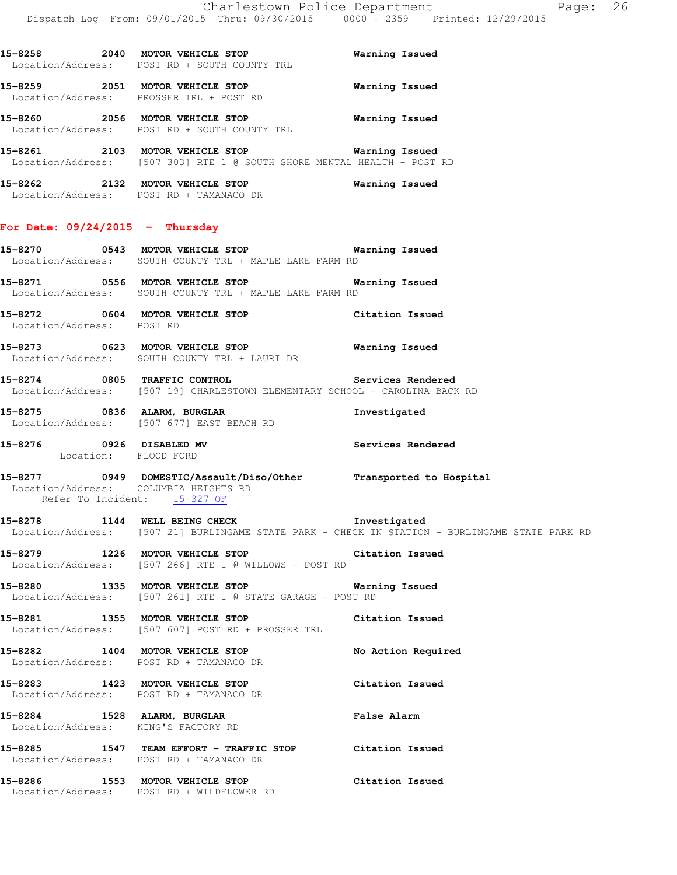Dispatch Log From: 09/01/2015 Thru: 09/30/2015 0000 - 2359 Printed: 12/29/2015 **15-8258 2040 MOTOR VEHICLE STOP Warning Issued**  Location/Address: POST RD + SOUTH COUNTY TRL **15-8259 2051 MOTOR VEHICLE STOP Warning Issued**  Location/Address: PROSSER TRL + POST RD **15-8260 2056 MOTOR VEHICLE STOP Warning Issued**  Location/Address: POST RD + SOUTH COUNTY TRL **15-8261 2103 MOTOR VEHICLE STOP Warning Issued**  Location/Address: [507 303] RTE 1 @ SOUTH SHORE MENTAL HEALTH - POST RD **15-8262 2132 MOTOR VEHICLE STOP Warning Issued**  Location/Address: POST RD + TAMANACO DR **For Date: 09/24/2015 - Thursday 15-8270 0543 MOTOR VEHICLE STOP Warning Issued**  Location/Address: SOUTH COUNTY TRL + MAPLE LAKE FARM RD **15-8271 0556 MOTOR VEHICLE STOP Warning Issued**  Location/Address: SOUTH COUNTY TRL + MAPLE LAKE FARM RD **15-8272 0604 MOTOR VEHICLE STOP Citation Issued**  Location/Address: POST RD **15-8273 0623 MOTOR VEHICLE STOP Warning Issued**  Location/Address: SOUTH COUNTY TRL + LAURI DR **15-8274 0805 TRAFFIC CONTROL Services Rendered**  Location/Address: [507 19] CHARLESTOWN ELEMENTARY SCHOOL - CAROLINA BACK RD **15-8275 0836 ALARM, BURGLAR Investigated**  Location/Address: [507 677] EAST BEACH RD **15-8276 0926 DISABLED MV Services Rendered**  Location: FLOOD FORD **15-8277 0949 DOMESTIC/Assault/Diso/Other Transported to Hospital**  Location/Address: COLUMBIA HEIGHTS RD Refer To Incident: 15-327-OF **15-8278 1144 WELL BEING CHECK Investigated**  Location/Address: [507 21] BURLINGAME STATE PARK - CHECK IN STATION - BURLINGAME STATE PARK RD **15-8279 1226 MOTOR VEHICLE STOP Citation Issued**  Location/Address: [507 266] RTE 1 @ WILLOWS - POST RD **15-8280 1335 MOTOR VEHICLE STOP Warning Issued**  Location/Address: [507 261] RTE 1 @ STATE GARAGE - POST RD **15-8281 1355 MOTOR VEHICLE STOP Citation Issued**  Location/Address: [507 607] POST RD + PROSSER TRL **15-8282 1404 MOTOR VEHICLE STOP No Action Required**  Location/Address: POST RD + TAMANACO DR **15-8283 1423 MOTOR VEHICLE STOP Citation Issued**  Location/Address: POST RD + TAMANACO DR **15-8284 1528 ALARM, BURGLAR False Alarm**  Location/Address: KING'S FACTORY RD **15-8285 1547 TEAM EFFORT - TRAFFIC STOP Citation Issued** 

**15-8286 1553 MOTOR VEHICLE STOP Citation Issued**  Location/Address: POST RD + WILDFLOWER RD

Location/Address: POST RD + TAMANACO DR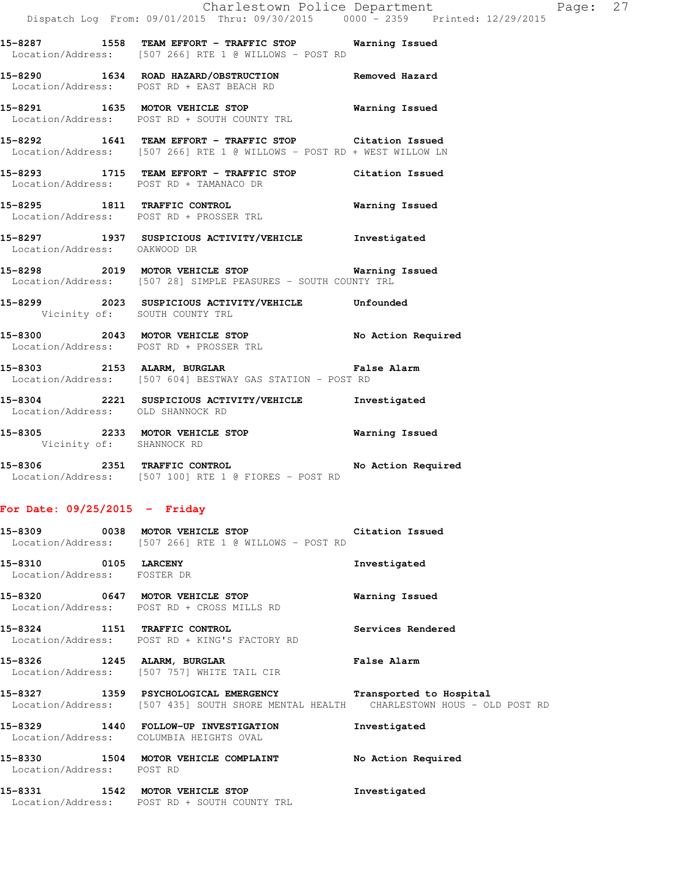**15-8287 1558 TEAM EFFORT - TRAFFIC STOP Warning Issued**  Location/Address: [507 266] RTE 1 @ WILLOWS - POST RD

**15-8290 1634 ROAD HAZARD/OBSTRUCTION Removed Hazard**  Location/Address: POST RD + EAST BEACH RD

**15-8291 1635 MOTOR VEHICLE STOP Warning Issued**  Location/Address: POST RD + SOUTH COUNTY TRL

**15-8292 1641 TEAM EFFORT - TRAFFIC STOP Citation Issued**  Location/Address: [507 266] RTE 1 @ WILLOWS - POST RD + WEST WILLOW LN

**15-8293 1715 TEAM EFFORT - TRAFFIC STOP Citation Issued**  Location/Address: POST RD + TAMANACO DR

**15-8295 1811 TRAFFIC CONTROL Warning Issued**  Location/Address: POST RD + PROSSER TRL

**15-8297 1937 SUSPICIOUS ACTIVITY/VEHICLE Investigated**  Location/Address: OAKWOOD DR

**15-8298 2019 MOTOR VEHICLE STOP Warning Issued**  Location/Address: [507 28] SIMPLE PEASURES - SOUTH COUNTY TRL

**15-8299 2023 SUSPICIOUS ACTIVITY/VEHICLE Unfounded**  Vicinity of: SOUTH COUNTY TRL

**15-8300 2043 MOTOR VEHICLE STOP No Action Required**  Location/Address: POST RD + PROSSER TRL

**15-8303 2153 ALARM, BURGLAR False Alarm**  Location/Address: [507 604] BESTWAY GAS STATION - POST RD

**15-8304 2221 SUSPICIOUS ACTIVITY/VEHICLE Investigated**  Location/Address: OLD SHANNOCK RD

**15-8305 2233 MOTOR VEHICLE STOP Warning Issued**  Vicinity of: SHANNOCK RD

**15-8306 2351 TRAFFIC CONTROL No Action Required**  Location/Address: [507 100] RTE 1 @ FIORES - POST RD

#### **For Date: 09/25/2015 - Friday**

**15-8309 0038 MOTOR VEHICLE STOP Citation Issued**  Location/Address: [507 266] RTE 1 @ WILLOWS - POST RD

**15-8310 0105 LARCENY Investigated**  Location/Address: FOSTER DR

**15-8320 0647 MOTOR VEHICLE STOP Warning Issued**  Location/Address: POST RD + CROSS MILLS RD

**15-8324 1151 TRAFFIC CONTROL Services Rendered**  Location/Address: POST RD + KING'S FACTORY RD

**15-8326 1245 ALARM, BURGLAR False Alarm**  Location/Address: [507 757] WHITE TAIL CIR

**15-8327 1359 PSYCHOLOGICAL EMERGENCY Transported to Hospital**  Location/Address: [507 435] SOUTH SHORE MENTAL HEALTH CHARLESTOWN HOUS - OLD POST RD

**15-8329 1440 FOLLOW-UP INVESTIGATION Investigated**  Location/Address: COLUMBIA HEIGHTS OVAL

**15-8330 1504 MOTOR VEHICLE COMPLAINT No Action Required**  Location/Address: POST RD

**15-8331 1542 MOTOR VEHICLE STOP Investigated**  Location/Address: POST RD + SOUTH COUNTY TRL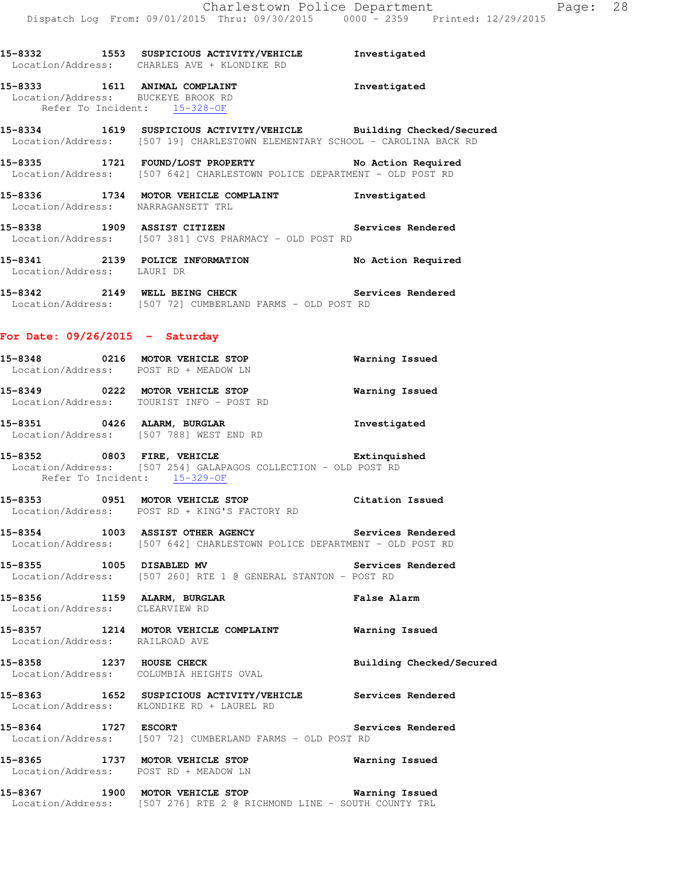**15-8332 1553 SUSPICIOUS ACTIVITY/VEHICLE Investigated** 

Location/Address: CHARLES AVE + KLONDIKE RD

|                                                               | Location/Address: BUCKEYE BROOK RD<br>Refer To Incident: 15-328-OF                                                                               |                          |
|---------------------------------------------------------------|--------------------------------------------------------------------------------------------------------------------------------------------------|--------------------------|
|                                                               | 15-8334 1619 SUSPICIOUS ACTIVITY/VEHICLE Building Checked/Secured<br>Location/Address: [507 19] CHARLESTOWN ELEMENTARY SCHOOL - CAROLINA BACK RD |                          |
|                                                               | 15-8335 1721 FOUND/LOST PROPERTY No Action Required<br>Location/Address: [507 642] CHARLESTOWN POLICE DEPARTMENT - OLD POST RD                   |                          |
|                                                               | 15-8336 1734 MOTOR VEHICLE COMPLAINT 1nvestigated<br>Location/Address: NARRAGANSETT TRL                                                          |                          |
|                                                               | 15-8338 1909 ASSIST CITIZEN 15-8338<br>Location/Address: [507 381] CVS PHARMACY - OLD POST RD                                                    |                          |
| Location/Address: LAURI DR                                    | 15-8341 2139 POLICE INFORMATION                                                                                                                  | No Action Required       |
|                                                               | 15-8342 2149 WELL BEING CHECK<br>Location/Address: [507 72] CUMBERLAND FARMS - OLD POST RD                                                       | Services Rendered        |
| For Date: $09/26/2015$ - Saturday                             |                                                                                                                                                  |                          |
|                                                               | 15-8348 0216 MOTOR VEHICLE STOP 6 Narning Issued<br>Location/Address: POST RD + MEADOW LN                                                        |                          |
|                                                               | 15-8349 0222 MOTOR VEHICLE STOP<br>Location/Address: TOURIST INFO - POST RD                                                                      | <b>Warning Issued</b>    |
|                                                               | 15-8351 0426 ALARM, BURGLAR<br>Location/Address: [507 788] WEST END RD                                                                           | Investigated             |
| Refer To Incident: 15-329-OF                                  | 15-8352 0803 FIRE, VEHICLE<br>Location/Address: [507 254] GALAPAGOS COLLECTION - OLD POST RD                                                     |                          |
|                                                               | 15-8353 0951 MOTOR VEHICLE STOP <b>120 Citation</b> Issued<br>Location/Address: POST RD + KING'S FACTORY RD                                      |                          |
|                                                               | 15-8354 1003 ASSIST OTHER AGENCY Services Rendered<br>Location/Address: [507 642] CHARLESTOWN POLICE DEPARTMENT - OLD POST RD                    |                          |
|                                                               | 15-8355 1005 DISABLED MV 3ervices Rendered<br>Location/Address: [507 260] RTE 1 @ GENERAL STANTON - POST RD                                      |                          |
| 15-8356 1159 ALARM, BURGLAR<br>Location/Address: CLEARVIEW RD |                                                                                                                                                  | <b>False Alarm</b>       |
| Location/Address: RAILROAD AVE                                | 15-8357 1214 MOTOR VEHICLE COMPLAINT <b>Warning Issued</b>                                                                                       |                          |
|                                                               | 15-8358 1237 HOUSE CHECK<br>Location/Address: COLUMBIA HEIGHTS OVAL                                                                              | Building Checked/Secured |
|                                                               | 15-8363 1652 SUSPICIOUS ACTIVITY/VEHICLE Services Rendered<br>Location/Address: KLONDIKE RD + LAUREL RD                                          |                          |
|                                                               | 15-8364 1727 ESCORT [507 72] CUMBERLAND FARMS - OLD POST RD Location/Address: [507 72] CUMBERLAND FARMS - OLD POST RD                            | Services Rendered        |
|                                                               | 15-8365 1737 MOTOR VEHICLE STOP<br>Location/Address: POST RD + MEADOW LN                                                                         | Warning Issued           |
|                                                               | 15-8367 1900 MOTOR VEHICLE STOP 1999 Warning Issued<br>Location/Address: [507 276] RTE 2 @ RICHMOND LINE - SOUTH COUNTY TRL                      |                          |
|                                                               |                                                                                                                                                  |                          |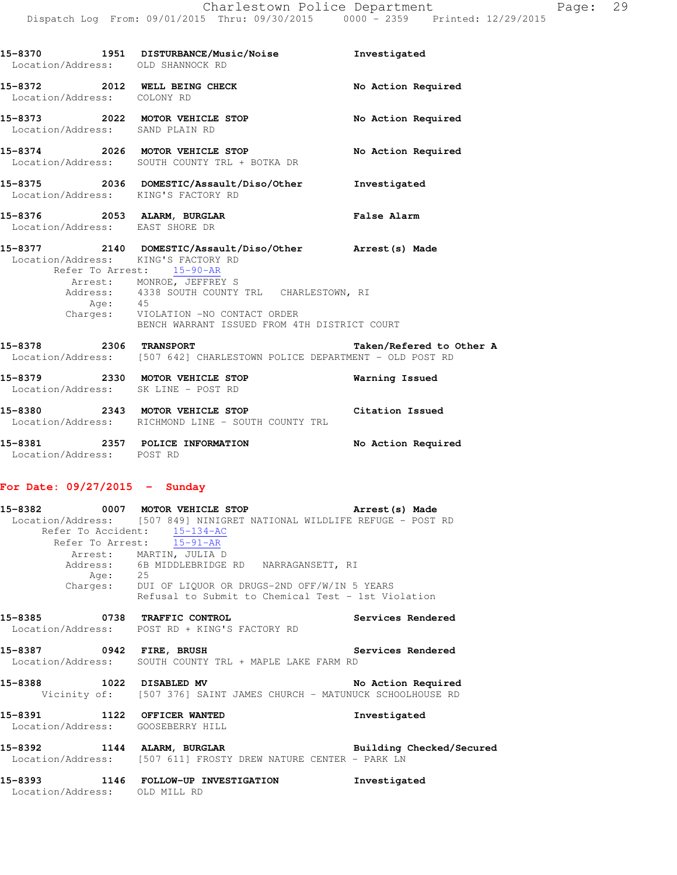| 15-8370<br>1951<br>Location/Address: | DISTURBANCE/Music/Noise<br>OLD SHANNOCK RD        | Investigated       |
|--------------------------------------|---------------------------------------------------|--------------------|
| 15-8372<br>2012<br>Location/Address: | WELL BEING CHECK<br>COLONY RD                     | No Action Required |
| 15-8373<br>2022<br>Location/Address: | MOTOR VEHICLE STOP<br>SAND PLAIN RD               | No Action Required |
| 15-8374<br>2026<br>Location/Address: | MOTOR VEHICLE STOP<br>SOUTH COUNTY TRL + BOTKA DR | No Action Required |
| 15-8375<br>2036<br>Location/Address: | DOMESTIC/Assault/Diso/Other<br>KING'S FACTORY RD  | Investigated       |
| 15-8376<br>2053<br>Location/Address: | ALARM, BURGLAR<br>EAST SHORE DR                   | <b>False Alarm</b> |

| 15-8377 |          | 2140 DOMESTIC/Assault/Diso/Other               | Arrest (s) Made |  |
|---------|----------|------------------------------------------------|-----------------|--|
|         |          | Location/Address: KING'S FACTORY RD            |                 |  |
|         |          | Refer To Arrest: 15-90-AR                      |                 |  |
|         |          | Arrest: MONROE, JEFFREY S                      |                 |  |
|         |          | Address: 4338 SOUTH COUNTY TRL CHARLESTOWN, RI |                 |  |
|         | Age:     | 45                                             |                 |  |
|         | Charges: | VIOLATION -NO CONTACT ORDER                    |                 |  |
|         |          | BENCH WARRANT ISSUED FROM 4TH DISTRICT COURT   |                 |  |
|         |          |                                                |                 |  |

| 15-8378 | 2306 | <b>TRANSPORT</b>                                          | Taken/Refered to Other A<br>Location/Address: [507 642] CHARLESTOWN POLICE DEPARTMENT - OLD POST RD |
|---------|------|-----------------------------------------------------------|-----------------------------------------------------------------------------------------------------|
| 15-8379 | 2330 | MOTOR VEHICLE STOP<br>Location/Address: SK LINE - POST RD | Warning Issued                                                                                      |
| 15-8380 | 2343 | MOTOR VEHICLE STOP                                        | Citation Issued                                                                                     |

| 15-8380                   | Z343 MOTOR VEHICLE STOP          | Citation Issued    |
|---------------------------|----------------------------------|--------------------|
| Location/Address:         | RICHMOND LINE – SOUTH COUNTY TRL |                    |
| 15-8381                   | 2357 POLICE INFORMATION          | No Action Required |
| Location/Address: POST RD |                                  |                    |

#### **For Date: 09/27/2015 - Sunday**

| Age: 25                           | 15-8382 		 0007 MOTOR VEHICLE STOP 		 Arrest(s) Made<br>Location/Address: [507 849] NINIGRET NATIONAL WILDLIFE REFUGE - POST RD<br>Refer To Accident: 15-134-AC<br>Refer To Arrest: 15-91-AR<br>Arrest: MARTIN, JULIA D<br>Address: 6B MIDDLEBRIDGE RD NARRAGANSETT, RI<br>Charges: DUI OF LIQUOR OR DRUGS-2ND OFF/W/IN 5 YEARS<br>Refusal to Submit to Chemical Test - 1st Violation |              |
|-----------------------------------|---------------------------------------------------------------------------------------------------------------------------------------------------------------------------------------------------------------------------------------------------------------------------------------------------------------------------------------------------------------------------------------|--------------|
|                                   | 15-8385 0738 TRAFFIC CONTROL 15-8385 Services Rendered<br>Location/Address: POST RD + KING'S FACTORY RD                                                                                                                                                                                                                                                                               |              |
|                                   | 15-8387 		 0942 FIRE, BRUSH 		 Services Rendered<br>Location/Address: SOUTH COUNTY TRL + MAPLE LAKE FARM RD                                                                                                                                                                                                                                                                           |              |
|                                   | 15-8388 1022 DISABLED MV No Action Required<br>Vicinity of: [507 376] SAINT JAMES CHURCH - MATUNUCK SCHOOLHOUSE RD                                                                                                                                                                                                                                                                    |              |
| Location/Address: GOOSEBERRY HILL | 15-8391 1122 OFFICER WANTED                                                                                                                                                                                                                                                                                                                                                           | Investigated |
|                                   | 15-8392 1144 ALARM, BURGLAR BURGER Building Checked/Secured<br>Location/Address: [507 611] FROSTY DREW NATURE CENTER - PARK LN                                                                                                                                                                                                                                                        |              |
| Location/Address: OLD MILL RD     | 15-8393 1146 FOLLOW-UP INVESTIGATION 1nvestigated                                                                                                                                                                                                                                                                                                                                     |              |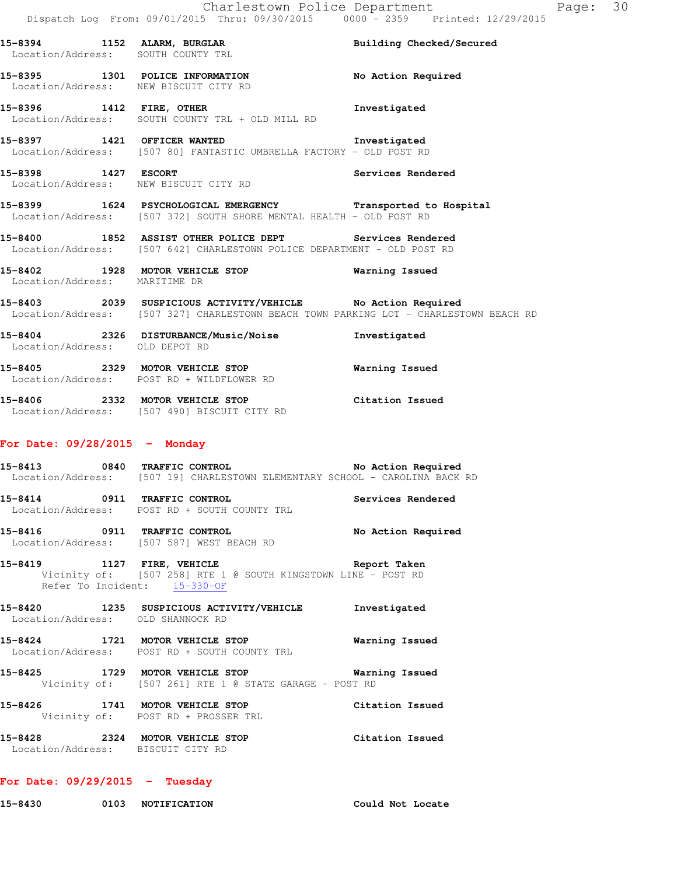**15-8394 1152 ALARM, BURGLAR Building Checked/Secured**  Location/Address: SOUTH COUNTY TRL **15-8395 1301 POLICE INFORMATION No Action Required**  Location/Address: NEW BISCUIT CITY RD **15-8396 1412 FIRE, OTHER Investigated**  Location/Address: SOUTH COUNTY TRL + OLD MILL RD **15-8397 1421 OFFICER WANTED Investigated**  Location/Address: [507 80] FANTASTIC UMBRELLA FACTORY - OLD POST RD **15-8398 1427 ESCORT Services Rendered**  Location/Address: NEW BISCUIT CITY RD **15-8399 1624 PSYCHOLOGICAL EMERGENCY Transported to Hospital**  Location/Address: [507 372] SOUTH SHORE MENTAL HEALTH - OLD POST RD **15-8400 1852 ASSIST OTHER POLICE DEPT Services Rendered**  Location/Address: [507 642] CHARLESTOWN POLICE DEPARTMENT - OLD POST RD **15-8402 1928 MOTOR VEHICLE STOP Warning Issued**  Location/Address: MARITIME DR **15-8403 2039 SUSPICIOUS ACTIVITY/VEHICLE No Action Required**  Location/Address: [507 327] CHARLESTOWN BEACH TOWN PARKING LOT - CHARLESTOWN BEACH RD **15-8404 2326 DISTURBANCE/Music/Noise Investigated**  Location/Address: OLD DEPOT RD **15-8405 2329 MOTOR VEHICLE STOP Warning Issued**  Location/Address: POST RD + WILDFLOWER RD **15-8406 2332 MOTOR VEHICLE STOP Citation Issued**  Location/Address: [507 490] BISCUIT CITY RD **For Date: 09/28/2015 - Monday** 15-8413 0840 TRAFFIC CONTROL **No Action Required** Location/Address: [507 19] CHARLESTOWN ELEMENTARY SCHOOL - CAROLINA BACK RD **15-8414 0911 TRAFFIC CONTROL Services Rendered**  Location/Address: POST RD + SOUTH COUNTY TRL **15-8416 0911 TRAFFIC CONTROL No Action Required**  Location/Address: [507 587] WEST BEACH RD **15-8419 1127 FIRE, VEHICLE Report Taken**  Vicinity of: [507 258] RTE 1 @ SOUTH KINGSTOWN LINE - POST RD Refer To Incident: 15-330-OF **15-8420 1235 SUSPICIOUS ACTIVITY/VEHICLE Investigated**  Location/Address: OLD SHANNOCK RD **15-8424 1721 MOTOR VEHICLE STOP Warning Issued**  Location/Address: POST RD + SOUTH COUNTY TRL **15-8425 1729 MOTOR VEHICLE STOP Warning Issued**  Vicinity of: [507 261] RTE 1 @ STATE GARAGE - POST RD **15-8426 1741 MOTOR VEHICLE STOP Citation Issued**  Vicinity of: POST RD + PROSSER TRL **15-8428 2324 MOTOR VEHICLE STOP Citation Issued**  Location/Address: BISCUIT CITY RD

#### **For Date: 09/29/2015 - Tuesday**

**15-8430 0103 NOTIFICATION Could Not Locate**